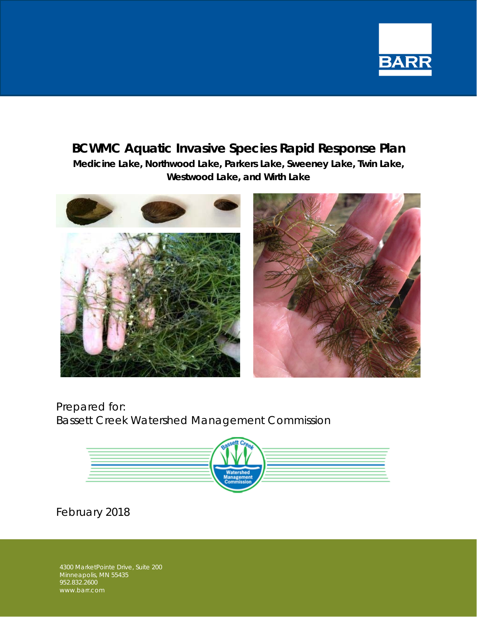

## **BCWMC Aquatic Invasive Species Rapid Response Plan Medicine Lake, Northwood Lake, Parkers Lake, Sweeney Lake, Twin Lake, Westwood Lake, and Wirth Lake**



Prepared for: Bassett Creek Watershed Management Commission



February 2018

4300 MarketPointe Drive, Suite 200 Minneapolis, MN 55435 952.832.2600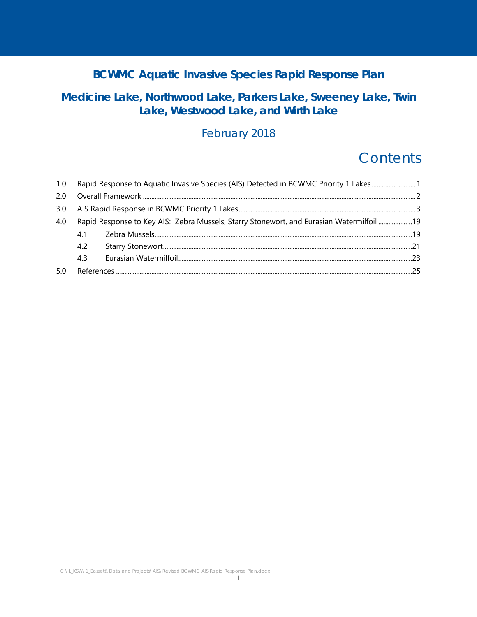## **BCWMC Aquatic Invasive Species Rapid Response Plan**

## **Medicine Lake, Northwood Lake, Parkers Lake, Sweeney Lake, Twin Lake, Westwood Lake, and Wirth Lake**

## February 2018

# **Contents**

|     | 1.0 Rapid Response to Aquatic Invasive Species (AIS) Detected in BCWMC Priority 1 Lakes1  |  |  |  |  |  |  |
|-----|-------------------------------------------------------------------------------------------|--|--|--|--|--|--|
| 2.0 |                                                                                           |  |  |  |  |  |  |
| 3.0 |                                                                                           |  |  |  |  |  |  |
| 4.0 | Rapid Response to Key AIS: Zebra Mussels, Starry Stonewort, and Eurasian Watermilfoil  19 |  |  |  |  |  |  |
|     | 4.1                                                                                       |  |  |  |  |  |  |
|     | 4.2                                                                                       |  |  |  |  |  |  |
|     | 4.3                                                                                       |  |  |  |  |  |  |
|     |                                                                                           |  |  |  |  |  |  |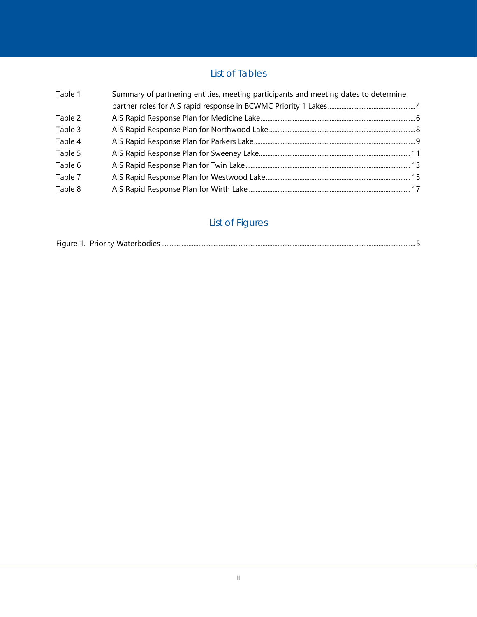### List of Tables

| Summary of partnering entities, meeting participants and meeting dates to determine |  |
|-------------------------------------------------------------------------------------|--|
|                                                                                     |  |
|                                                                                     |  |
|                                                                                     |  |
|                                                                                     |  |
|                                                                                     |  |
|                                                                                     |  |
|                                                                                     |  |
|                                                                                     |  |
|                                                                                     |  |

## List of Figures

|  | Figure 1. Priority Waterbodies |  |
|--|--------------------------------|--|
|  |                                |  |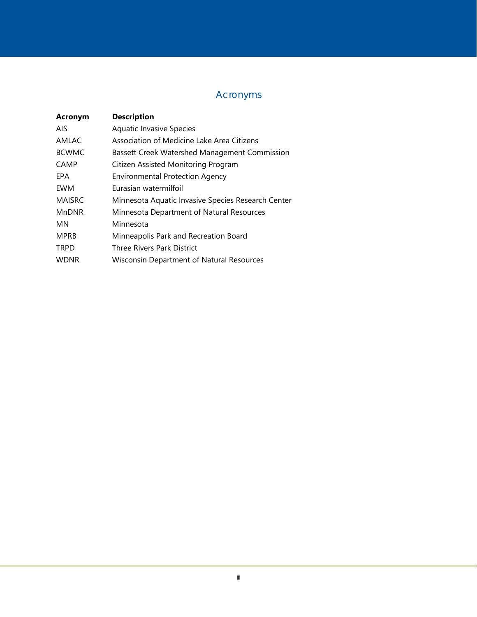## Acronyms

| Acronym       | <b>Description</b>                                 |
|---------------|----------------------------------------------------|
| AIS.          | <b>Aquatic Invasive Species</b>                    |
| AMLAC         | Association of Medicine Lake Area Citizens         |
| <b>BCWMC</b>  | Bassett Creek Watershed Management Commission      |
| <b>CAMP</b>   | Citizen Assisted Monitoring Program                |
| EPA           | <b>Environmental Protection Agency</b>             |
| EWM           | Eurasian watermilfoil                              |
| <b>MAISRC</b> | Minnesota Aquatic Invasive Species Research Center |
| <b>MnDNR</b>  | Minnesota Department of Natural Resources          |
| MN            | Minnesota                                          |
| <b>MPRB</b>   | Minneapolis Park and Recreation Board              |
| <b>TRPD</b>   | Three Rivers Park District                         |
| <b>WDNR</b>   | Wisconsin Department of Natural Resources          |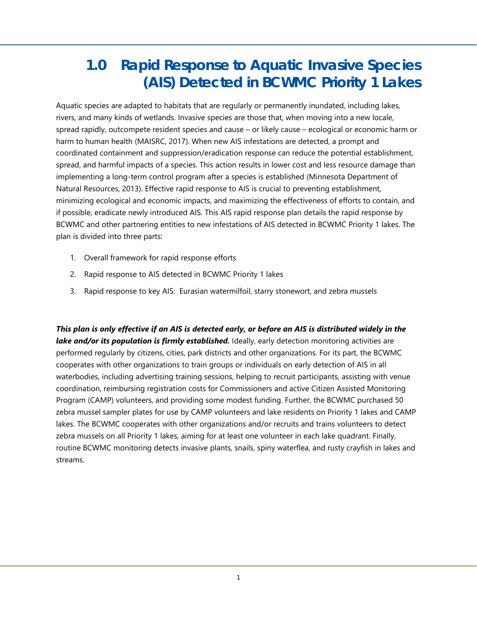# **1.0 Rapid Response to Aquatic Invasive Species (AIS) Detected in BCWMC Priority 1 Lakes**

Aquatic species are adapted to habitats that are regularly or permanently inundated, including lakes, rivers, and many kinds of wetlands. Invasive species are those that, when moving into a new locale, spread rapidly, outcompete resident species and cause – or likely cause – ecological or economic harm or harm to human health (MAISRC, 2017). When new AIS infestations are detected, a prompt and coordinated containment and suppression/eradication response can reduce the potential establishment, spread, and harmful impacts of a species. This action results in lower cost and less resource damage than implementing a long-term control program after a species is established (Minnesota Department of Natural Resources, 2013). Effective rapid response to AIS is crucial to preventing establishment, minimizing ecological and economic impacts, and maximizing the effectiveness of efforts to contain, and if possible, eradicate newly introduced AIS. This AIS rapid response plan details the rapid response by BCWMC and other partnering entities to new infestations of AIS detected in BCWMC Priority 1 lakes. The plan is divided into three parts:

- 1. Overall framework for rapid response efforts
- 2. Rapid response to AIS detected in BCWMC Priority 1 lakes
- 3. Rapid response to key AIS: Eurasian watermilfoil, starry stonewort, and zebra mussels

*This plan is only effective if an AIS is detected early, or before an AIS is distributed widely in the lake and/or its population is firmly established.* Ideally, early detection monitoring activities are performed regularly by citizens, cities, park districts and other organizations. For its part, the BCWMC cooperates with other organizations to train groups or individuals on early detection of AIS in all waterbodies, including advertising training sessions, helping to recruit participants, assisting with venue coordination, reimbursing registration costs for Commissioners and active Citizen Assisted Monitoring Program (CAMP) volunteers, and providing some modest funding. Further, the BCWMC purchased 50 zebra mussel sampler plates for use by CAMP volunteers and lake residents on Priority 1 lakes and CAMP lakes. The BCWMC cooperates with other organizations and/or recruits and trains volunteers to detect zebra mussels on all Priority 1 lakes, aiming for at least one volunteer in each lake quadrant. Finally, routine BCWMC monitoring detects invasive plants, snails, spiny waterflea, and rusty crayfish in lakes and streams.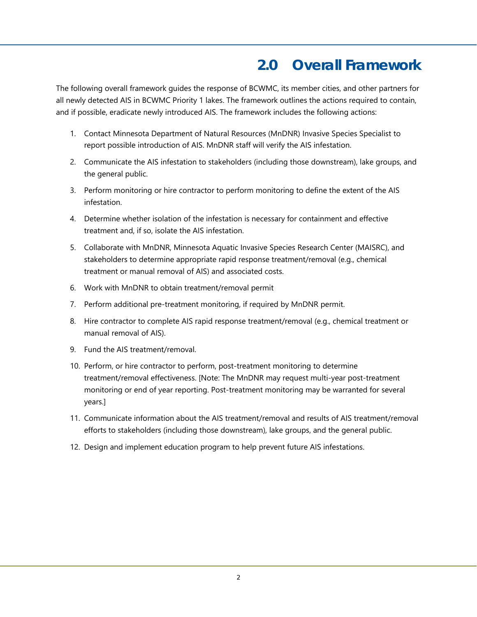# **2.0 Overall Framework**

The following overall framework guides the response of BCWMC, its member cities, and other partners for all newly detected AIS in BCWMC Priority 1 lakes. The framework outlines the actions required to contain, and if possible, eradicate newly introduced AIS. The framework includes the following actions:

- 1. Contact Minnesota Department of Natural Resources (MnDNR) Invasive Species Specialist to report possible introduction of AIS. MnDNR staff will verify the AIS infestation.
- 2. Communicate the AIS infestation to stakeholders (including those downstream), lake groups, and the general public.
- 3. Perform monitoring or hire contractor to perform monitoring to define the extent of the AIS infestation.
- 4. Determine whether isolation of the infestation is necessary for containment and effective treatment and, if so, isolate the AIS infestation.
- 5. Collaborate with MnDNR, Minnesota Aquatic Invasive Species Research Center (MAISRC), and stakeholders to determine appropriate rapid response treatment/removal (e.g., chemical treatment or manual removal of AIS) and associated costs.
- 6. Work with MnDNR to obtain treatment/removal permit
- 7. Perform additional pre-treatment monitoring, if required by MnDNR permit.
- 8. Hire contractor to complete AIS rapid response treatment/removal (e.g., chemical treatment or manual removal of AIS).
- 9. Fund the AIS treatment/removal.
- 10. Perform, or hire contractor to perform, post-treatment monitoring to determine treatment/removal effectiveness. [Note: The MnDNR may request multi-year post-treatment monitoring or end of year reporting. Post-treatment monitoring may be warranted for several years.]
- 11. Communicate information about the AIS treatment/removal and results of AIS treatment/removal efforts to stakeholders (including those downstream), lake groups, and the general public.
- 12. Design and implement education program to help prevent future AIS infestations.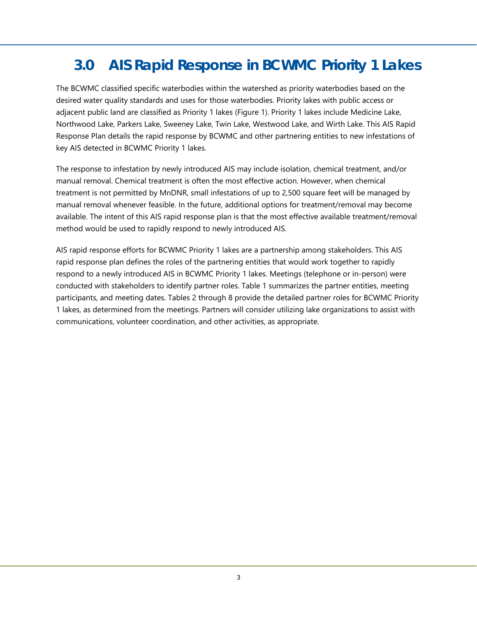# **3.0 AIS Rapid Response in BCWMC Priority 1 Lakes**

The BCWMC classified specific waterbodies within the watershed as priority waterbodies based on the desired water quality standards and uses for those waterbodies. Priority lakes with public access or adjacent public land are classified as Priority 1 lakes (Figure 1). Priority 1 lakes include Medicine Lake, Northwood Lake, Parkers Lake, Sweeney Lake, Twin Lake, Westwood Lake, and Wirth Lake. This AIS Rapid Response Plan details the rapid response by BCWMC and other partnering entities to new infestations of key AIS detected in BCWMC Priority 1 lakes.

The response to infestation by newly introduced AIS may include isolation, chemical treatment, and/or manual removal. Chemical treatment is often the most effective action. However, when chemical treatment is not permitted by MnDNR, small infestations of up to 2,500 square feet will be managed by manual removal whenever feasible. In the future, additional options for treatment/removal may become available. The intent of this AIS rapid response plan is that the most effective available treatment/removal method would be used to rapidly respond to newly introduced AIS.

AIS rapid response efforts for BCWMC Priority 1 lakes are a partnership among stakeholders. This AIS rapid response plan defines the roles of the partnering entities that would work together to rapidly respond to a newly introduced AIS in BCWMC Priority 1 lakes. Meetings (telephone or in-person) were conducted with stakeholders to identify partner roles. Table 1 summarizes the partner entities, meeting participants, and meeting dates. Tables 2 through 8 provide the detailed partner roles for BCWMC Priority 1 lakes, as determined from the meetings. Partners will consider utilizing lake organizations to assist with communications, volunteer coordination, and other activities, as appropriate.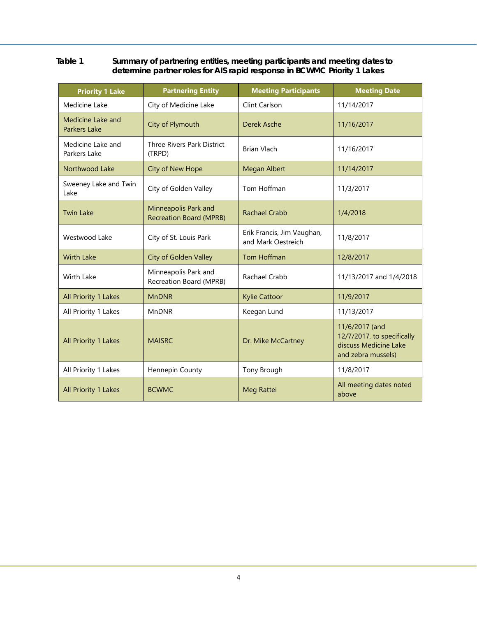#### **Table 1 Summary of partnering entities, meeting participants and meeting dates to determine partner roles for AIS rapid response in BCWMC Priority 1 Lakes**

| <b>Priority 1 Lake</b>                   | <b>Partnering Entity</b>                               | <b>Meeting Participants</b>                      | <b>Meeting Date</b>                                                                         |
|------------------------------------------|--------------------------------------------------------|--------------------------------------------------|---------------------------------------------------------------------------------------------|
| Medicine Lake                            | City of Medicine Lake                                  | Clint Carlson                                    | 11/14/2017                                                                                  |
| Medicine Lake and<br><b>Parkers Lake</b> | City of Plymouth                                       | Derek Asche                                      | 11/16/2017                                                                                  |
| Medicine Lake and<br>Parkers Lake        | Three Rivers Park District<br>(TRPD)                   | <b>Brian Vlach</b>                               | 11/16/2017                                                                                  |
| Northwood Lake                           | <b>City of New Hope</b>                                | <b>Megan Albert</b>                              | 11/14/2017                                                                                  |
| Sweeney Lake and Twin<br>Lake            | City of Golden Valley                                  | Tom Hoffman                                      | 11/3/2017                                                                                   |
| <b>Twin Lake</b>                         | Minneapolis Park and<br><b>Recreation Board (MPRB)</b> | <b>Rachael Crabb</b>                             | 1/4/2018                                                                                    |
| Westwood Lake                            | City of St. Louis Park                                 | Erik Francis, Jim Vaughan,<br>and Mark Oestreich | 11/8/2017                                                                                   |
| <b>Wirth Lake</b>                        | <b>City of Golden Valley</b>                           | Tom Hoffman                                      | 12/8/2017                                                                                   |
| Wirth Lake                               | Minneapolis Park and<br>Recreation Board (MPRB)        | Rachael Crabb                                    | 11/13/2017 and 1/4/2018                                                                     |
| All Priority 1 Lakes                     | <b>MnDNR</b>                                           | <b>Kylie Cattoor</b>                             | 11/9/2017                                                                                   |
| All Priority 1 Lakes                     | <b>MnDNR</b>                                           | Keegan Lund                                      | 11/13/2017                                                                                  |
| All Priority 1 Lakes                     | <b>MAISRC</b>                                          | Dr. Mike McCartney                               | 11/6/2017 (and<br>12/7/2017, to specifically<br>discuss Medicine Lake<br>and zebra mussels) |
| All Priority 1 Lakes                     | Hennepin County                                        | Tony Brough                                      | 11/8/2017                                                                                   |
| All Priority 1 Lakes                     | <b>BCWMC</b>                                           | Meg Rattei                                       | All meeting dates noted<br>above                                                            |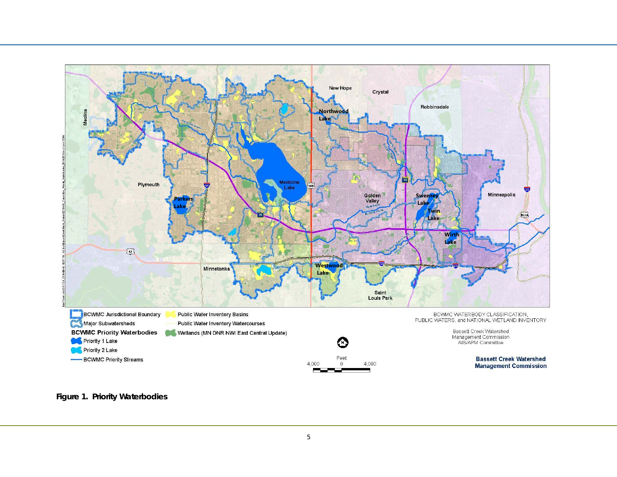

**Figure 1. Priority Waterbodies**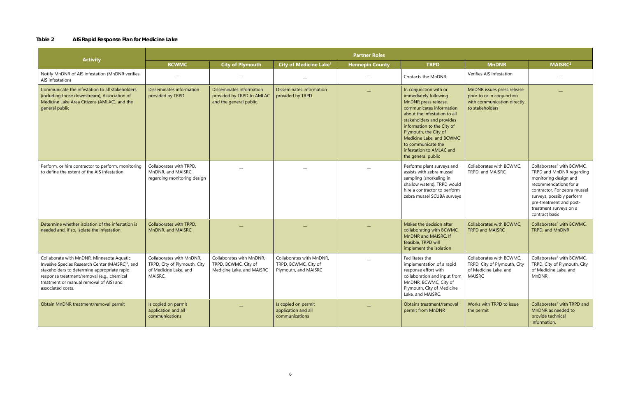#### **Table 2 AIS Rapid Response Plan for Medicine Lake**

|                                                                                                                                                                                                                                                                        | <b>Partner Roles</b>                                                                         |                                                                                  |                                                                          |                        |                                                                                                                                                                                                                                                                                                                             |                                                                                                            |                                                                                                                                                                                                                                                         |  |  |  |
|------------------------------------------------------------------------------------------------------------------------------------------------------------------------------------------------------------------------------------------------------------------------|----------------------------------------------------------------------------------------------|----------------------------------------------------------------------------------|--------------------------------------------------------------------------|------------------------|-----------------------------------------------------------------------------------------------------------------------------------------------------------------------------------------------------------------------------------------------------------------------------------------------------------------------------|------------------------------------------------------------------------------------------------------------|---------------------------------------------------------------------------------------------------------------------------------------------------------------------------------------------------------------------------------------------------------|--|--|--|
| <b>Activity</b>                                                                                                                                                                                                                                                        | <b>BCWMC</b>                                                                                 | <b>City of Plymouth</b>                                                          | City of Medicine Lake <sup>1</sup>                                       | <b>Hennepin County</b> | <b>TRPD</b>                                                                                                                                                                                                                                                                                                                 | <b>MnDNR</b>                                                                                               | <b>MAISRC2</b>                                                                                                                                                                                                                                          |  |  |  |
| Notify MnDNR of AIS infestation (MnDNR verifies<br>AIS infestation)                                                                                                                                                                                                    |                                                                                              |                                                                                  |                                                                          |                        | Contacts the MnDNR.                                                                                                                                                                                                                                                                                                         | Verifies AIS infestation                                                                                   |                                                                                                                                                                                                                                                         |  |  |  |
| Communicate the infestation to all stakeholders<br>(including those downstream), Association of<br>Medicine Lake Area Citizens (AMLAC), and the<br>general public                                                                                                      | Disseminates information<br>provided by TRPD                                                 | Disseminates information<br>provided by TRPD to AMLAC<br>and the general public. | Disseminates information<br>provided by TRPD                             |                        | In conjunction with or<br>immediately following<br>MnDNR press release,<br>communicates information<br>about the infestation to all<br>stakeholders and provides<br>information to the City of<br>Plymouth, the City of<br>Medicine Lake, and BCWMC<br>to communicate the<br>infestation to AMLAC and<br>the general public | MnDNR issues press release<br>prior to or in conjunction<br>with communication directly<br>to stakeholders |                                                                                                                                                                                                                                                         |  |  |  |
| Perform, or hire contractor to perform, monitoring<br>to define the extent of the AIS infestation                                                                                                                                                                      | Collaborates with TRPD,<br>MnDNR, and MAISRC<br>regarding monitoring design                  |                                                                                  |                                                                          |                        | Performs plant surveys and<br>assists with zebra mussel<br>sampling (snorkeling in<br>shallow waters). TRPD would<br>hire a contractor to perform<br>zebra mussel SCUBA surveys                                                                                                                                             | Collaborates with BCWMC,<br>TRPD, and MAISRC                                                               | Collaborates <sup>3</sup> with BCWMC,<br>TRPD and MnDNR regarding<br>monitoring design and<br>recommendations for a<br>contractor. For zebra mussel<br>surveys, possibly perform<br>pre-treatment and post-<br>treatment surveys on a<br>contract basis |  |  |  |
| Determine whether isolation of the infestation is<br>needed and, if so, isolate the infestation                                                                                                                                                                        | Collaborates with TRPD,<br>MnDNR, and MAISRC                                                 |                                                                                  |                                                                          |                        | Makes the decision after<br>collaborating with BCWMC,<br>MnDNR and MAISRC. If<br>feasible, TRPD will<br>implement the isolation                                                                                                                                                                                             | Collaborates with BCWMC,<br><b>TRPD and MAISRC</b>                                                         | Collaborates <sup>3</sup> with BCWMC,<br>TRPD, and MnDNR                                                                                                                                                                                                |  |  |  |
| Collaborate with MnDNR, Minnesota Aquatic<br>Invasive Species Research Center (MAISRC) <sup>2</sup> , and<br>stakeholders to determine appropriate rapid<br>response treatment/removal (e.g., chemical<br>treatment or manual removal of AIS) and<br>associated costs. | Collaborates with MnDNR,<br>TRPD, City of Plymouth, City<br>of Medicine Lake, and<br>MAISRC. | Collaborates with MnDNR,<br>TRPD, BCWMC, City of<br>Medicine Lake, and MAISRC    | Collaborates with MnDNR,<br>TRPD, BCWMC, City of<br>Plymouth, and MAISRC |                        | Facilitates the<br>implementation of a rapid<br>response effort with<br>collaboration and input from   MAISRC<br>MnDNR, BCWMC, City of<br>Plymouth, City of Medicine<br>Lake, and MAISRC.                                                                                                                                   | Collaborates with BCWMC,<br>TRPD, City of Plymouth, City<br>of Medicine Lake, and                          | Collaborates <sup>3</sup> with BCWMC,<br>TRPD, City of Plymouth, City<br>of Medicine Lake, and<br><b>MnDNR</b>                                                                                                                                          |  |  |  |
| Obtain MnDNR treatment/removal permit                                                                                                                                                                                                                                  | Is copied on permit<br>application and all<br>communications                                 |                                                                                  | Is copied on permit<br>application and all<br>communications             |                        | Obtains treatment/removal<br>permit from MnDNR                                                                                                                                                                                                                                                                              | Works with TRPD to issue<br>the permit                                                                     | Collaborates <sup>3</sup> with TRPD and<br>MnDNR as needed to<br>provide technical<br>information.                                                                                                                                                      |  |  |  |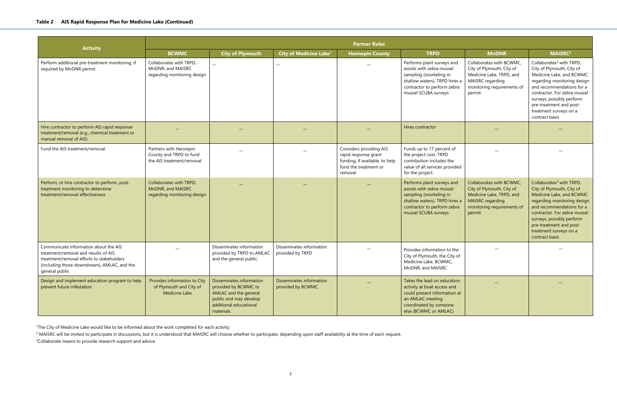| <b>Activity</b>                                                                                                                                                                              | <b>Partner Roles</b>                                                           |                                                                                                                                             |                                               |                                                                                                                       |                                                                                                                                                                            |                                                                                                                                                      |                                                                                                                                                                                                                                                                                               |  |  |  |
|----------------------------------------------------------------------------------------------------------------------------------------------------------------------------------------------|--------------------------------------------------------------------------------|---------------------------------------------------------------------------------------------------------------------------------------------|-----------------------------------------------|-----------------------------------------------------------------------------------------------------------------------|----------------------------------------------------------------------------------------------------------------------------------------------------------------------------|------------------------------------------------------------------------------------------------------------------------------------------------------|-----------------------------------------------------------------------------------------------------------------------------------------------------------------------------------------------------------------------------------------------------------------------------------------------|--|--|--|
|                                                                                                                                                                                              | <b>BCWMC</b>                                                                   | <b>City of Plymouth</b>                                                                                                                     | <b>City of Medicine Lake<sup>1</sup></b>      | <b>Hennepin County</b>                                                                                                | <b>TRPD</b>                                                                                                                                                                | <b>MnDNR</b>                                                                                                                                         | MAISRC <sup>2</sup>                                                                                                                                                                                                                                                                           |  |  |  |
| Perform additional pre-treatment monitoring, if<br>required by MnDNR permit                                                                                                                  | Collaborates with TRPD,<br>MnDNR, and MAISRC<br>regarding monitoring design    |                                                                                                                                             |                                               |                                                                                                                       | Performs plant surveys and<br>assists with zebra mussel<br>sampling (snorkeling in<br>shallow waters). TRPD hires a<br>contractor to perform zebra<br>mussel SCUBA surveys | Collaborates with BCWMC,<br>City of Plymouth, City of<br>Medicine Lake, TRPD, and<br>MAISRC regarding<br>monitoring requirements of<br>permit        | Collaborates <sup>3</sup> with TRPD,<br>City of Plymouth, City of<br>Medicine Lake, and BCWMC<br>regarding monitoring design<br>and recommendations for a<br>contractor. For zebra mussel<br>surveys, possibly perform<br>pre-treatment and post-<br>treatment surveys on a<br>contract basis |  |  |  |
| Hire contractor to perform AIS rapid response<br>treatment/removal (e.g., chemical treatment or<br>manual removal of AIS)                                                                    |                                                                                |                                                                                                                                             |                                               |                                                                                                                       | Hires contractor                                                                                                                                                           |                                                                                                                                                      |                                                                                                                                                                                                                                                                                               |  |  |  |
| Fund the AIS treatment/removal                                                                                                                                                               | Partners with Hennepin<br>County and TRPD to fund<br>the AIS treatment/removal |                                                                                                                                             |                                               | Considers providing AIS<br>rapid response grant<br>funding, if available, to help<br>fund the treatment or<br>removal | Funds up to 17 percent of<br>the project cost. TRPD<br>contribution includes the<br>value of all services provided<br>for the project.                                     |                                                                                                                                                      |                                                                                                                                                                                                                                                                                               |  |  |  |
| Perform, or hire contractor to perform, post-<br>treatment monitoring to determine<br>treatment/removal effectiveness                                                                        | Collaborates with TRPD,<br>MnDNR, and MAISRC<br>regarding monitoring design    |                                                                                                                                             |                                               |                                                                                                                       | Performs plant surveys and<br>assists with zebra mussel<br>sampling (snorkeling in<br>shallow waters). TRPD hires a<br>contractor to perform zebra<br>mussel SCUBA surveys | Collaborates with BCWMC,<br>City of Plymouth, City of<br>Medicine Lake, TRPD, and<br><b>MAISRC</b> regarding<br>monitoring requirements of<br>permit | Collaborates <sup>3</sup> with TRPD,<br>City of Plymouth, City of<br>Medicine Lake, and BCWMC<br>regarding monitoring design<br>and recommendations for a<br>contractor. For zebra mussel<br>surveys, possibly perform<br>pre-treatment and post-<br>treatment surveys on a<br>contract basis |  |  |  |
| Communicate information about the AIS<br>treatment/removal and results of AIS<br>treatment/removal efforts to stakeholders<br>(including those downstream), AMLAC, and the<br>general public |                                                                                | Disseminates information<br>provided by TRPD to AMLAC<br>and the general public.                                                            | Disseminates information<br>provided by TRPD  |                                                                                                                       | Provides information to the<br>City of Plymouth, the City of<br>Medicine Lake, BCWMC,<br>MnDNR, and MAISRC                                                                 |                                                                                                                                                      |                                                                                                                                                                                                                                                                                               |  |  |  |
| Design and implement education program to help<br>prevent future infestation                                                                                                                 | Provides information to City<br>of Plymouth and City of<br>Medicine Lake       | Disseminates information<br>provided by BCWMC to<br>AMLAC and the general<br>public and may develop<br>additional educational<br>materials. | Disseminates information<br>provided by BCWMC |                                                                                                                       | Takes the lead on education<br>activity at boat access and<br>could present information at<br>an AMLAC meeting<br>coordinated by someone<br>else (BCWMC or AMLAC)          |                                                                                                                                                      |                                                                                                                                                                                                                                                                                               |  |  |  |

<sup>1</sup>The City of Medicine Lake would like to be informed about the work completed for each activity.

<sup>2</sup> MAISRC will be invited to participate in discussions, but it is understood that MAISRC will choose whether to participate, depending upon staff availability at the time of each request.

<sup>3</sup>Collaborate means to provide research support and advice.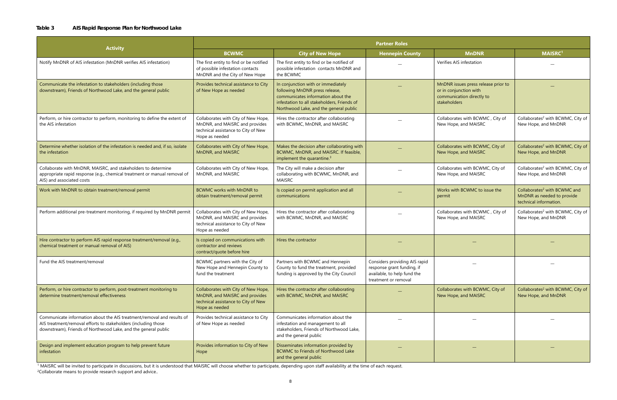#### **Table 3 AIS Rapid Response Plan for Northwood Lake**

|                                                                                                                                                                                                            | <b>Partner Roles</b>                                                                                                           |                                                                                                                                                                                                     |                                                                                                                    |                                                                                                            |                                                                                                  |  |  |  |
|------------------------------------------------------------------------------------------------------------------------------------------------------------------------------------------------------------|--------------------------------------------------------------------------------------------------------------------------------|-----------------------------------------------------------------------------------------------------------------------------------------------------------------------------------------------------|--------------------------------------------------------------------------------------------------------------------|------------------------------------------------------------------------------------------------------------|--------------------------------------------------------------------------------------------------|--|--|--|
| <b>Activity</b>                                                                                                                                                                                            | <b>BCWMC</b>                                                                                                                   | <b>City of New Hope</b>                                                                                                                                                                             | <b>Hennepin County</b>                                                                                             | <b>MnDNR</b>                                                                                               | <b>MAISRC1</b>                                                                                   |  |  |  |
| Notify MnDNR of AIS infestation (MnDNR verifies AIS infestation)                                                                                                                                           | The first entity to find or be notified<br>of possible infestation contacts<br>MnDNR and the City of New Hope                  | The first entity to find or be notified of<br>possible infestation contacts MnDNR and<br>the BCWMC                                                                                                  |                                                                                                                    | Verifies AIS infestation                                                                                   |                                                                                                  |  |  |  |
| Communicate the infestation to stakeholders (including those<br>downstream), Friends of Northwood Lake, and the general public                                                                             | Provides technical assistance to City<br>of New Hope as needed                                                                 | In conjunction with or immediately<br>following MnDNR press release,<br>communicates information about the<br>infestation to all stakeholders, Friends of<br>Northwood Lake, and the general public |                                                                                                                    | MnDNR issues press release prior to<br>or in conjunction with<br>communication directly to<br>stakeholders |                                                                                                  |  |  |  |
| Perform, or hire contractor to perform, monitoring to define the extent of<br>the AIS infestation                                                                                                          | Collaborates with City of New Hope,<br>MnDNR, and MAISRC and provides<br>technical assistance to City of New<br>Hope as needed | Hires the contractor after collaborating<br>with BCWMC, MnDNR, and MAISRC                                                                                                                           |                                                                                                                    | Collaborates with BCWMC, City of<br>New Hope, and MAISRC                                                   | Collaborates <sup>2</sup> with BCWMC, City of<br>New Hope, and MnDNR                             |  |  |  |
| Determine whether isolation of the infestation is needed and, if so, isolate<br>the infestation                                                                                                            | Collaborates with City of New Hope,<br>MnDNR, and MAISRC                                                                       | Makes the decision after collaborating with<br>BCWMC, MnDNR, and MAISRC. If feasible,<br>implement the quarantine. <sup>3</sup>                                                                     |                                                                                                                    | Collaborates with BCWMC, City of<br>New Hope, and MAISRC                                                   | Collaborates <sup>2</sup> with BCWMC, City of<br>New Hope, and MnDNR                             |  |  |  |
| Collaborate with MnDNR, MAISRC, and stakeholders to determine<br>appropriate rapid response (e.g., chemical treatment or manual removal of<br>AIS) and associated costs                                    | Collaborates with City of New Hope,<br>MnDNR, and MAISRC                                                                       | The City will make a decision after<br>collaborating with BCWMC, MnDNR, and<br><b>MAISRC</b>                                                                                                        |                                                                                                                    | Collaborates with BCWMC, City of<br>New Hope, and MAISRC                                                   | Collaborates <sup>2</sup> with BCWMC, City of<br>New Hope, and MnDNR                             |  |  |  |
| Work with MnDNR to obtain treatment/removal permit                                                                                                                                                         | <b>BCWMC works with MnDNR to</b><br>obtain treatment/removal permit                                                            | Is copied on permit application and all<br>communications                                                                                                                                           |                                                                                                                    | Works with BCWMC to issue the<br>permit                                                                    | Collaborates <sup>2</sup> with BCWMC and<br>MnDNR as needed to provide<br>technical information. |  |  |  |
| Perform additional pre-treatment monitoring, if required by MnDNR permit                                                                                                                                   | Collaborates with City of New Hope,<br>MnDNR, and MAISRC and provides<br>technical assistance to City of New<br>Hope as needed | Hires the contractor after collaborating<br>with BCWMC, MnDNR, and MAISRC                                                                                                                           |                                                                                                                    | Collaborates with BCWMC, City of<br>New Hope, and MAISRC                                                   | Collaborates <sup>2</sup> with BCWMC, City of<br>New Hope, and MnDNR                             |  |  |  |
| Hire contractor to perform AIS rapid response treatment/removal (e.g.,<br>chemical treatment or manual removal of AIS)                                                                                     | Is copied on communications with<br>contractor and reviews<br>contract/quote before hire                                       | Hires the contractor                                                                                                                                                                                |                                                                                                                    |                                                                                                            |                                                                                                  |  |  |  |
| Fund the AIS treatment/removal                                                                                                                                                                             | BCWMC partners with the City of<br>New Hope and Hennepin County to<br>fund the treatment                                       | Partners with BCWMC and Hennepin<br>County to fund the treatment, provided<br>funding is approved by the City Council                                                                               | Considers providing AIS rapid<br>response grant funding, if<br>available, to help fund the<br>treatment or removal |                                                                                                            |                                                                                                  |  |  |  |
| Perform, or hire contractor to perform, post-treatment monitoring to<br>determine treatment/removal effectiveness                                                                                          | Collaborates with City of New Hope,<br>MnDNR, and MAISRC and provides<br>technical assistance to City of New<br>Hope as needed | Hires the contractor after collaborating<br>with BCWMC, MnDNR, and MAISRC                                                                                                                           |                                                                                                                    | Collaborates with BCWMC, City of<br>New Hope, and MAISRC                                                   | Collaborates <sup>2</sup> with BCWMC, City of<br>New Hope, and MnDNR                             |  |  |  |
| Communicate information about the AIS treatment/removal and results of<br>AIS treatment/removal efforts to stakeholders (including those<br>downstream), Friends of Northwood Lake, and the general public | Provides technical assistance to City<br>of New Hope as needed                                                                 | Communicates information about the<br>infestation and management to all<br>stakeholders, Friends of Northwood Lake,<br>and the general public                                                       |                                                                                                                    |                                                                                                            |                                                                                                  |  |  |  |
| Design and implement education program to help prevent future<br>infestation                                                                                                                               | Provides information to City of New<br>Hope                                                                                    | Disseminates information provided by<br>BCWMC to Friends of Northwood Lake<br>and the general public                                                                                                |                                                                                                                    |                                                                                                            |                                                                                                  |  |  |  |

 $1$  MAISRC will be invited to participate in discussions, but it is understood that MAISRC will choose whether to participate, depending upon staff availability at the time of each request. <sup>2</sup>Collaborate means to provide research support and advice..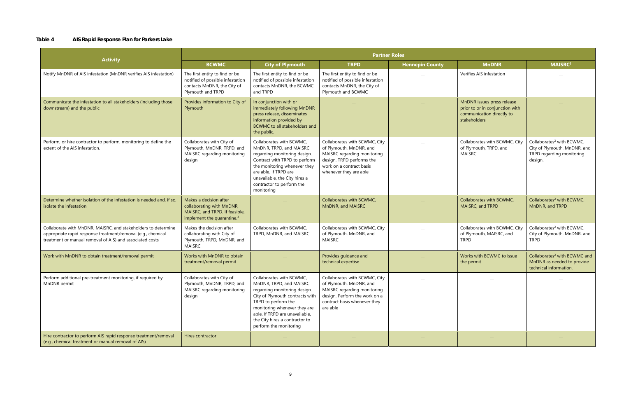#### **Table 4 AIS Rapid Response Plan for Parkers Lake**

| <b>Activity</b>                                                                                                                                                                           | <b>Partner Roles</b>                                                                                                            |                                                                                                                                                                                                                                                                             |                                                                                                                                                                            |                        |                                                                                                            |                                                                                                               |  |  |  |
|-------------------------------------------------------------------------------------------------------------------------------------------------------------------------------------------|---------------------------------------------------------------------------------------------------------------------------------|-----------------------------------------------------------------------------------------------------------------------------------------------------------------------------------------------------------------------------------------------------------------------------|----------------------------------------------------------------------------------------------------------------------------------------------------------------------------|------------------------|------------------------------------------------------------------------------------------------------------|---------------------------------------------------------------------------------------------------------------|--|--|--|
|                                                                                                                                                                                           | <b>BCWMC</b>                                                                                                                    | <b>City of Plymouth</b>                                                                                                                                                                                                                                                     | <b>TRPD</b>                                                                                                                                                                | <b>Hennepin County</b> | <b>MnDNR</b>                                                                                               | <b>MAISRC1</b>                                                                                                |  |  |  |
| Notify MnDNR of AIS infestation (MnDNR verifies AIS infestation)                                                                                                                          | The first entity to find or be<br>notified of possible infestation<br>contacts MnDNR, the City of<br>Plymouth and TRPD          | The first entity to find or be<br>notified of possible infestation<br>contacts MnDNR, the BCWMC<br>and TRPD                                                                                                                                                                 | The first entity to find or be<br>notified of possible infestation<br>contacts MnDNR, the City of<br>Plymouth and BCWMC                                                    |                        | Verifies AIS infestation                                                                                   |                                                                                                               |  |  |  |
| Communicate the infestation to all stakeholders (including those<br>downstream) and the public                                                                                            | Provides information to City of<br>Plymouth                                                                                     | In conjunction with or<br>immediately following MnDNR<br>press release, disseminates<br>information provided by<br>BCWMC to all stakeholders and<br>the public.                                                                                                             |                                                                                                                                                                            |                        | MnDNR issues press release<br>prior to or in conjunction with<br>communication directly to<br>stakeholders |                                                                                                               |  |  |  |
| Perform, or hire contractor to perform, monitoring to define the<br>extent of the AIS infestation.                                                                                        | Collaborates with City of<br>Plymouth, MnDNR, TRPD, and<br>MAISRC regarding monitoring<br>design                                | Collaborates with BCWMC,<br>MnDNR, TRPD, and MAISRC<br>regarding monitoring design.<br>Contract with TRPD to perform<br>the monitoring whenever they<br>are able. If TRPD are<br>unavailable, the City hires a<br>contractor to perform the<br>monitoring                   | Collaborates with BCWMC, City<br>of Plymouth, MnDNR, and<br>MAISRC regarding monitoring<br>design. TRPD performs the<br>work on a contract basis<br>whenever they are able |                        | Collaborates with BCWMC, City<br>of Plymouth, TRPD, and<br><b>MAISRC</b>                                   | Collaborates <sup>2</sup> with BCWMC,<br>City of Plymouth, MnDNR, and<br>TRPD regarding monitoring<br>design. |  |  |  |
| Determine whether isolation of the infestation is needed and, if so,<br>isolate the infestation                                                                                           | Makes a decision after<br>collaborating with MnDNR,<br>MAISRC, and TRPD. If feasible,<br>implement the quarantine. <sup>3</sup> |                                                                                                                                                                                                                                                                             | Collaborates with BCWMC,<br>MnDNR, and MAISRC                                                                                                                              |                        | Collaborates with BCWMC,<br>MAISRC, and TRPD                                                               | Collaborates <sup>2</sup> with BCWMC,<br>MnDNR, and TRPD                                                      |  |  |  |
| Collaborate with MnDNR, MAISRC, and stakeholders to determine<br>appropriate rapid response treatment/removal (e.g., chemical<br>treatment or manual removal of AIS) and associated costs | Makes the decision after<br>collaborating with City of<br>Plymouth, TRPD, MnDNR, and<br><b>MAISRC</b>                           | Collaborates with BCWMC,<br>TRPD, MnDNR, and MAISRC                                                                                                                                                                                                                         | Collaborates with BCWMC, City<br>of Plymouth, MnDNR, and<br><b>MAISRC</b>                                                                                                  |                        | Collaborates with BCWMC, City<br>of Plymouth, MAISRC, and<br><b>TRPD</b>                                   | Collaborates <sup>2</sup> with BCWMC,<br>City of Plymouth, MnDNR, and<br><b>TRPD</b>                          |  |  |  |
| Work with MnDNR to obtain treatment/removal permit                                                                                                                                        | Works with MnDNR to obtain<br>treatment/removal permit                                                                          |                                                                                                                                                                                                                                                                             | Provides guidance and<br>technical expertise                                                                                                                               |                        | Works with BCWMC to issue<br>the permit                                                                    | Collaborates <sup>2</sup> with BCWMC and<br>MnDNR as needed to provide<br>technical information.              |  |  |  |
| Perform additional pre-treatment monitoring, if required by<br>MnDNR permit                                                                                                               | Collaborates with City of<br>Plymouth, MnDNR, TRPD, and<br>MAISRC regarding monitoring<br>design                                | Collaborates with BCWMC,<br>MnDNR, TRPD, and MAISRC<br>regarding monitoring design.<br>City of Plymouth contracts with<br>TRPD to perform the<br>monitoring whenever they are<br>able. If TRPD are unavailable,<br>the City hires a contractor to<br>perform the monitoring | Collaborates with BCWMC, City<br>of Plymouth, MnDNR, and<br>MAISRC regarding monitoring<br>design. Perform the work on a<br>contract basis whenever they<br>are able       |                        |                                                                                                            |                                                                                                               |  |  |  |
| Hire contractor to perform AIS rapid response treatment/removal<br>(e.g., chemical treatment or manual removal of AIS)                                                                    | Hires contractor                                                                                                                |                                                                                                                                                                                                                                                                             |                                                                                                                                                                            |                        |                                                                                                            |                                                                                                               |  |  |  |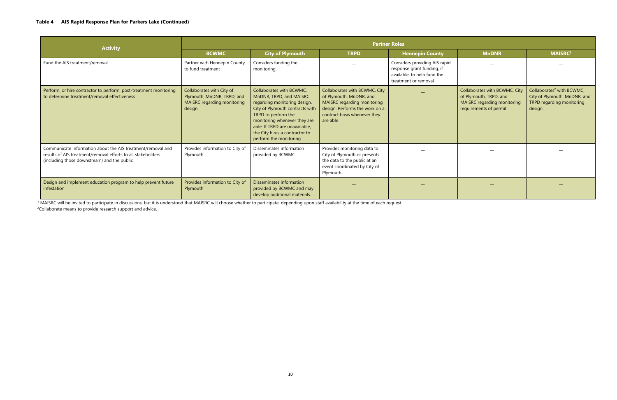| <b>Activity</b>                                                                                                                                                            | <b>Partner Roles</b>                                                                             |                                                                                                                                                                                                                                                                             |                                                                                                                                                                       |                                                                                                                    |                                                                                                                  |                                                                                                               |  |  |  |
|----------------------------------------------------------------------------------------------------------------------------------------------------------------------------|--------------------------------------------------------------------------------------------------|-----------------------------------------------------------------------------------------------------------------------------------------------------------------------------------------------------------------------------------------------------------------------------|-----------------------------------------------------------------------------------------------------------------------------------------------------------------------|--------------------------------------------------------------------------------------------------------------------|------------------------------------------------------------------------------------------------------------------|---------------------------------------------------------------------------------------------------------------|--|--|--|
|                                                                                                                                                                            | <b>BCWMC</b>                                                                                     | <b>City of Plymouth</b>                                                                                                                                                                                                                                                     | <b>TRPD</b>                                                                                                                                                           | <b>Hennepin County</b>                                                                                             | <b>MnDNR</b>                                                                                                     | <b>MAISRC1</b>                                                                                                |  |  |  |
| Fund the AIS treatment/removal                                                                                                                                             | Partner with Hennepin County<br>to fund treatment                                                | Considers funding the<br>monitoring.                                                                                                                                                                                                                                        |                                                                                                                                                                       | Considers providing AIS rapid<br>response grant funding, if<br>available, to help fund the<br>treatment or removal |                                                                                                                  |                                                                                                               |  |  |  |
| Perform, or hire contractor to perform, post-treatment monitoring<br>to determine treatment/removal effectiveness                                                          | Collaborates with City of<br>Plymouth, MnDNR, TRPD, and<br>MAISRC regarding monitoring<br>design | Collaborates with BCWMC.<br>MnDNR, TRPD, and MAISRC<br>regarding monitoring design.<br>City of Plymouth contracts with<br>TRPD to perform the<br>monitoring whenever they are<br>able. If TRPD are unavailable,<br>the City hires a contractor to<br>perform the monitoring | Collaborates with BCWMC, City<br>of Plymouth, MnDNR, and<br>MAISRC regarding monitoring<br>design. Performs the work on a<br>contract basis whenever they<br>are able |                                                                                                                    | Collaborates with BCWMC, City<br>of Plymouth, TRPD, and<br>MAISRC regarding monitoring<br>requirements of permit | Collaborates <sup>2</sup> with BCWMC,<br>City of Plymouth, MnDNR, and<br>TRPD regarding monitoring<br>design. |  |  |  |
| Communicate information about the AIS treatment/removal and<br>results of AIS treatment/removal efforts to all stakeholders<br>(including those downstream) and the public | Provides information to City of<br>Plymouth                                                      | Disseminates information<br>provided by BCWMC.                                                                                                                                                                                                                              | Provides monitoring data to<br>City of Plymouth or presents<br>the data to the public at an<br>event coordinated by City of<br>Plymouth                               |                                                                                                                    |                                                                                                                  |                                                                                                               |  |  |  |
| Design and implement education program to help prevent future<br>infestation                                                                                               | Provides information to City of<br>Plymouth                                                      | Disseminates information<br>provided by BCWMC and may<br>develop additional materials.                                                                                                                                                                                      |                                                                                                                                                                       |                                                                                                                    |                                                                                                                  |                                                                                                               |  |  |  |

<sup>1</sup> MAISRC will be invited to participate in discussions, but it is understood that MAISRC will choose whether to participate, depending upon staff availability at the time of each request.

<sup>2</sup>Collaborate means to provide research support and advice.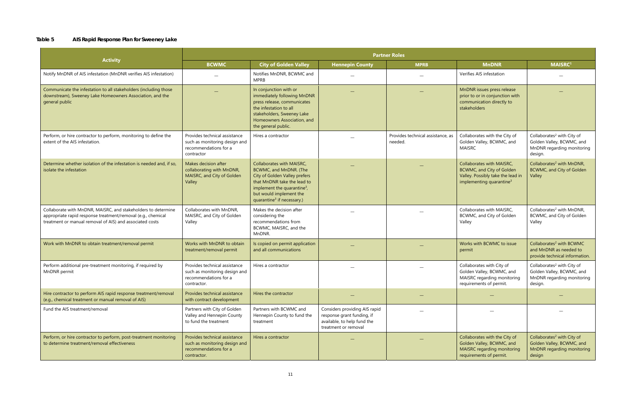#### **Table 5 AIS Rapid Response Plan for Sweeney Lake**

|                                                                                                                                                                                           | <b>Partner Roles</b>                                                                                   |                                                                                                                                                                                                                                     |                                                                                                                    |                                              |                                                                                                                                     |                                                                                                              |  |  |  |
|-------------------------------------------------------------------------------------------------------------------------------------------------------------------------------------------|--------------------------------------------------------------------------------------------------------|-------------------------------------------------------------------------------------------------------------------------------------------------------------------------------------------------------------------------------------|--------------------------------------------------------------------------------------------------------------------|----------------------------------------------|-------------------------------------------------------------------------------------------------------------------------------------|--------------------------------------------------------------------------------------------------------------|--|--|--|
| <b>Activity</b>                                                                                                                                                                           | <b>BCWMC</b>                                                                                           | <b>City of Golden Valley</b>                                                                                                                                                                                                        | <b>Hennepin County</b>                                                                                             | <b>MPRB</b>                                  | <b>MnDNR</b>                                                                                                                        | <b>MAISRC1</b>                                                                                               |  |  |  |
| Notify MnDNR of AIS infestation (MnDNR verifies AIS infestation)                                                                                                                          |                                                                                                        | Notifies MnDNR, BCWMC and<br><b>MPRB</b>                                                                                                                                                                                            |                                                                                                                    |                                              | Verifies AIS infestation                                                                                                            |                                                                                                              |  |  |  |
| Communicate the infestation to all stakeholders (including those<br>downstream), Sweeney Lake Homeowners Association, and the<br>general public                                           |                                                                                                        | In conjunction with or<br>immediately following MnDNR<br>press release, communicates<br>the infestation to all<br>stakeholders, Sweeney Lake<br>Homeowners Association, and<br>the general public.                                  |                                                                                                                    |                                              | MnDNR issues press release<br>prior to or in conjunction with<br>communication directly to<br>stakeholders                          |                                                                                                              |  |  |  |
| Perform, or hire contractor to perform, monitoring to define the<br>extent of the AIS infestation.                                                                                        | Provides technical assistance<br>such as monitoring design and<br>recommendations for a<br>contractor  | Hires a contractor                                                                                                                                                                                                                  |                                                                                                                    | Provides technical assistance, as<br>needed. | Collaborates with the City of<br>Golden Valley, BCWMC, and<br><b>MAISRC</b>                                                         | Collaborates <sup>2</sup> with City of<br>Golden Valley, BCWMC, and<br>MnDNR regarding monitoring<br>design. |  |  |  |
| Determine whether isolation of the infestation is needed and, if so,<br>isolate the infestation                                                                                           | Makes decision after<br>collaborating with MnDNR,<br>MAISRC, and City of Golden<br>Valley              | Collaborates with MAISRC,<br>BCWMC, and MnDNR. (The<br>City of Golden Valley prefers<br>that MnDNR take the lead to<br>implement the quarantine <sup>3</sup> ,<br>but would implement the<br>quarantine <sup>3</sup> if necessary.) |                                                                                                                    |                                              | Collaborates with MAISRC,<br>BCWMC, and City of Golden<br>Valley. Possibly take the lead in<br>implementing quarantine <sup>3</sup> | Collaborates <sup>2</sup> with MnDNR,<br>BCWMC, and City of Golden<br>Valley                                 |  |  |  |
| Collaborate with MnDNR, MAISRC, and stakeholders to determine<br>appropriate rapid response treatment/removal (e.g., chemical<br>treatment or manual removal of AIS) and associated costs | Collaborates with MnDNR,<br>MAISRC, and City of Golden<br>Valley                                       | Makes the decision after<br>considering the<br>recommendations from<br>BCWMC, MAISRC, and the<br>MnDNR.                                                                                                                             |                                                                                                                    |                                              | Collaborates with MAISRC,<br>BCWMC, and City of Golden<br>Valley                                                                    | Collaborates <sup>2</sup> with MnDNR,<br>BCWMC, and City of Golden<br>Valley                                 |  |  |  |
| Work with MnDNR to obtain treatment/removal permit                                                                                                                                        | Works with MnDNR to obtain<br>treatment/removal permit                                                 | Is copied on permit application<br>and all communications                                                                                                                                                                           |                                                                                                                    |                                              | Works with BCWMC to issue<br>permit                                                                                                 | Collaborates <sup>2</sup> with BCWMC<br>and MnDNR as needed to<br>provide technical information.             |  |  |  |
| Perform additional pre-treatment monitoring, if required by<br>MnDNR permit                                                                                                               | Provides technical assistance<br>such as monitoring design and<br>recommendations for a<br>contractor. | Hires a contractor                                                                                                                                                                                                                  |                                                                                                                    |                                              | Collaborates with City of<br>Golden Valley, BCWMC, and<br>MAISRC regarding monitoring<br>requirements of permit.                    | Collaborates <sup>2</sup> with City of<br>Golden Valley, BCWMC, and<br>MnDNR regarding monitoring<br>design. |  |  |  |
| Hire contractor to perform AIS rapid response treatment/removal<br>(e.g., chemical treatment or manual removal of AIS)                                                                    | Provides technical assistance<br>with contract development                                             | Hires the contractor                                                                                                                                                                                                                |                                                                                                                    |                                              |                                                                                                                                     |                                                                                                              |  |  |  |
| Fund the AIS treatment/removal                                                                                                                                                            | Partners with City of Golden<br>Valley and Hennepin County<br>to fund the treatment                    | Partners with BCWMC and<br>Hennepin County to fund the<br>treatment                                                                                                                                                                 | Considers providing AIS rapid<br>response grant funding, if<br>available, to help fund the<br>treatment or removal |                                              |                                                                                                                                     |                                                                                                              |  |  |  |
| Perform, or hire contractor to perform, post-treatment monitoring<br>to determine treatment/removal effectiveness                                                                         | Provides technical assistance<br>such as monitoring design and<br>recommendations for a<br>contractor. | Hires a contractor                                                                                                                                                                                                                  |                                                                                                                    |                                              | Collaborates with the City of<br>Golden Valley, BCWMC, and<br>MAISRC regarding monitoring<br>requirements of permit.                | Collaborates <sup>2</sup> with City of<br>Golden Valley, BCWMC, and<br>MnDNR regarding monitoring<br>design  |  |  |  |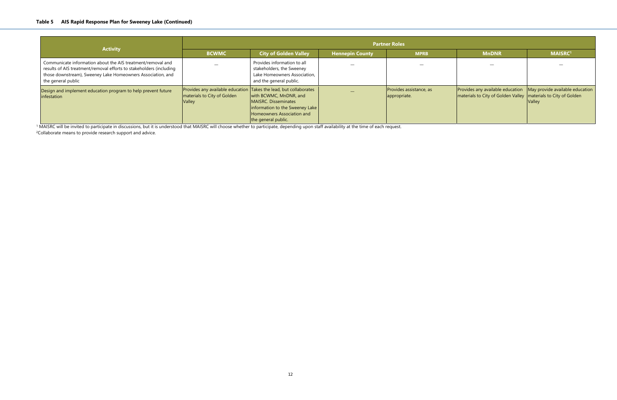| <b>Activity</b>                                                                                                                                                                                                         | <b>Partner Roles</b>                                                                                       |                                                                                                                                                |                        |                                         |                                                                                                                                                      |                |  |  |
|-------------------------------------------------------------------------------------------------------------------------------------------------------------------------------------------------------------------------|------------------------------------------------------------------------------------------------------------|------------------------------------------------------------------------------------------------------------------------------------------------|------------------------|-----------------------------------------|------------------------------------------------------------------------------------------------------------------------------------------------------|----------------|--|--|
|                                                                                                                                                                                                                         | <b>BCWMC</b>                                                                                               | <b>City of Golden Valley</b>                                                                                                                   | <b>Hennepin County</b> | <b>MPRB</b>                             | <b>MnDNR</b>                                                                                                                                         | <b>MAISRC1</b> |  |  |
| Communicate information about the AIS treatment/removal and<br>results of AIS treatment/removal efforts to stakeholders (including<br>those downstream), Sweeney Lake Homeowners Association, and<br>the general public |                                                                                                            | Provides information to all<br>stakeholders, the Sweeney<br>Lake Homeowners Association,<br>and the general public.                            |                        |                                         |                                                                                                                                                      |                |  |  |
| Design and implement education program to help prevent future<br>infestation                                                                                                                                            | Provides any available education Takes the lead, but collaborates<br>materials to City of Golden<br>Valley | with BCWMC, MnDNR, and<br>MAISRC. Disseminates<br>$ $ information to the Sweeney Lake $ $<br>Homeowners Association and<br>the general public. |                        | Provides assistance, as<br>appropriate. | Provides any available education $\vert$ May provide available education $\vert$<br>materials to City of Golden Valley   materials to City of Golden | <b>Valley</b>  |  |  |

 $^1$  MAISRC will be invited to participate in discussions, but it is understood that MAISRC will choose whether to participate, depending upon staff availability at the time of each request. <sup>2</sup>Collaborate means to provide research support and advice.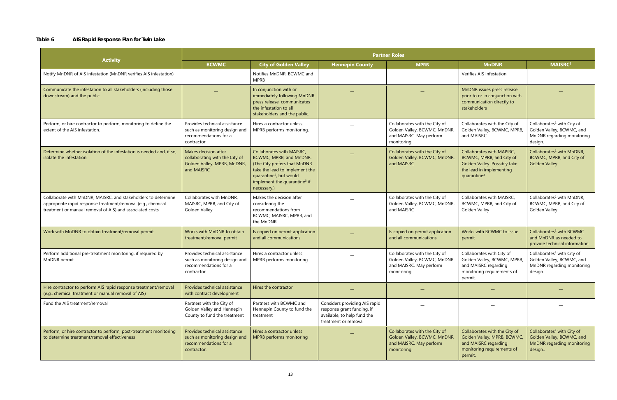#### **Table 6 AIS Rapid Response Plan for Twin Lake**

|                                                                                                                                                                                           | <b>Partner Roles</b>                                                                                   |                                                                                                                                                                                                                          |                                                                                                                    |                                                                                                        |                                                                                                                                              |                                                                                                              |
|-------------------------------------------------------------------------------------------------------------------------------------------------------------------------------------------|--------------------------------------------------------------------------------------------------------|--------------------------------------------------------------------------------------------------------------------------------------------------------------------------------------------------------------------------|--------------------------------------------------------------------------------------------------------------------|--------------------------------------------------------------------------------------------------------|----------------------------------------------------------------------------------------------------------------------------------------------|--------------------------------------------------------------------------------------------------------------|
| <b>Activity</b>                                                                                                                                                                           | <b>BCWMC</b>                                                                                           | <b>City of Golden Valley</b>                                                                                                                                                                                             | <b>Hennepin County</b>                                                                                             | <b>MPRB</b>                                                                                            | <b>MnDNR</b>                                                                                                                                 | <b>MAISRC1</b>                                                                                               |
| Notify MnDNR of AIS infestation (MnDNR verifies AIS infestation)                                                                                                                          |                                                                                                        | Notifies MnDNR, BCWMC and<br><b>MPRB</b>                                                                                                                                                                                 |                                                                                                                    |                                                                                                        | Verifies AIS infestation                                                                                                                     |                                                                                                              |
| Communicate the infestation to all stakeholders (including those<br>downstream) and the public                                                                                            |                                                                                                        | In conjunction with or<br>immediately following MnDNR<br>press release, communicates<br>the infestation to all<br>stakeholders and the public.                                                                           |                                                                                                                    |                                                                                                        | MnDNR issues press release<br>prior to or in conjunction with<br>communication directly to<br>stakeholders                                   |                                                                                                              |
| Perform, or hire contractor to perform, monitoring to define the<br>extent of the AIS infestation.                                                                                        | Provides technical assistance<br>such as monitoring design and<br>recommendations for a<br>contractor  | Hires a contractor unless<br>MPRB performs monitoring.                                                                                                                                                                   |                                                                                                                    | Collaborates with the City of<br>Golden Valley, BCWMC, MnDNR<br>and MAISRC. May perform<br>monitoring. | Collaborates with the City of<br>Golden Valley, BCWMC, MPRB,<br>and MAISRC                                                                   | Collaborates <sup>2</sup> with City of<br>Golden Valley, BCWMC, and<br>MnDNR regarding monitoring<br>design. |
| Determine whether isolation of the infestation is needed and, if so,<br>isolate the infestation                                                                                           | Makes decision after<br>collaborating with the City of<br>Golden Valley, MPRB, MnDNR,<br>and MAISRC    | Collaborates with MAISRC,<br>BCWMC, MPRB, and MnDNR.<br>(The City prefers that MnDNR<br>take the lead to implement the<br>quarantine <sup>3</sup> , but would<br>implement the quarantine <sup>3</sup> if<br>necessary.) |                                                                                                                    | Collaborates with the City of<br>Golden Valley, BCWMC, MnDNR,<br>and MAISRC                            | Collaborates with MAISRC,<br>BCWMC, MPRB, and City of<br>Golden Valley. Possibly take<br>the lead in implementing<br>quarantine <sup>3</sup> | Collaborates <sup>2</sup> with MnDNR,<br>BCWMC, MPRB, and City of<br><b>Golden Valley</b>                    |
| Collaborate with MnDNR, MAISRC, and stakeholders to determine<br>appropriate rapid response treatment/removal (e.g., chemical<br>treatment or manual removal of AIS) and associated costs | Collaborates with MnDNR,<br>MAISRC, MPRB, and City of<br>Golden Valley                                 | Makes the decision after<br>considering the<br>recommendations from<br>BCWMC, MAISRC, MPRB, and<br>the MnDNR.                                                                                                            |                                                                                                                    | Collaborates with the City of<br>Golden Valley, BCWMC, MnDNR,<br>and MAISRC                            | Collaborates with MAISRC,<br>BCWMC, MPRB, and City of<br>Golden Valley                                                                       | Collaborates <sup>2</sup> with MnDNR,<br>BCWMC, MPRB, and City of<br>Golden Valley                           |
| Work with MnDNR to obtain treatment/removal permit                                                                                                                                        | Works with MnDNR to obtain<br>treatment/removal permit                                                 | Is copied on permit application<br>and all communications                                                                                                                                                                |                                                                                                                    | Is copied on permit application<br>and all communications                                              | Works with BCWMC to issue<br>permit                                                                                                          | Collaborates <sup>2</sup> with BCWMC<br>and MnDNR as needed to<br>provide technical information.             |
| Perform additional pre-treatment monitoring, if required by<br>MnDNR permit                                                                                                               | Provides technical assistance<br>such as monitoring design and<br>recommendations for a<br>contractor. | Hires a contractor unless<br>MPRB performs monitoring                                                                                                                                                                    |                                                                                                                    | Collaborates with the City of<br>Golden Valley, BCWMC, MnDNR<br>and MAISRC. May perform<br>monitoring. | Collaborates with City of<br>Golden Valley, BCWMC, MPRB,<br>and MAISRC regarding<br>monitoring requirements of<br>permit.                    | Collaborates <sup>2</sup> with City of<br>Golden Valley, BCWMC, and<br>MnDNR regarding monitoring<br>design. |
| Hire contractor to perform AIS rapid response treatment/removal<br>(e.g., chemical treatment or manual removal of AIS)                                                                    | Provides technical assistance<br>with contract development                                             | Hires the contractor                                                                                                                                                                                                     |                                                                                                                    |                                                                                                        |                                                                                                                                              |                                                                                                              |
| Fund the AIS treatment/removal                                                                                                                                                            | Partners with the City of<br>Golden Valley and Hennepin<br>County to fund the treatment                | Partners with BCWMC and<br>Hennepin County to fund the<br>treatment                                                                                                                                                      | Considers providing AIS rapid<br>response grant funding, if<br>available, to help fund the<br>treatment or removal |                                                                                                        |                                                                                                                                              |                                                                                                              |
| Perform, or hire contractor to perform, post-treatment monitoring<br>to determine treatment/removal effectiveness                                                                         | Provides technical assistance<br>such as monitoring design and<br>recommendations for a<br>contractor. | Hires a contractor unless<br>MPRB performs monitoring                                                                                                                                                                    |                                                                                                                    | Collaborates with the City of<br>Golden Valley, BCWMC, MnDNR<br>and MAISRC. May perform<br>monitoring. | Collaborates with the City of<br>Golden Valley, MPRB, BCWMC,<br>and MAISRC regarding<br>monitoring requirements of<br>permit.                | Collaborates <sup>2</sup> with City of<br>Golden Valley, BCWMC, and<br>MnDNR regarding monitoring<br>design  |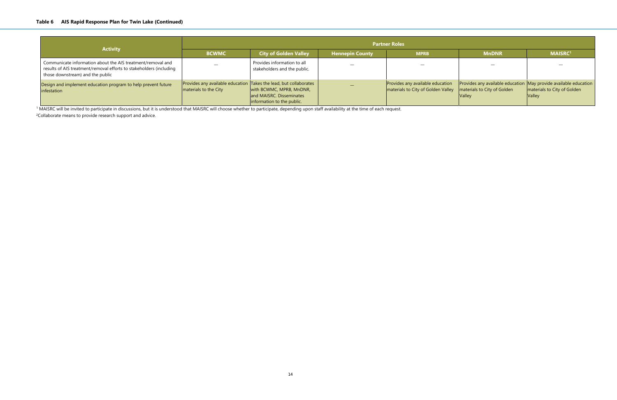| <b>Activity</b>                                                                                                                                                        | <b>Partner Roles</b>  |                                                                                                                                                         |                        |                                                                        |                                                                                                                  |                                              |  |
|------------------------------------------------------------------------------------------------------------------------------------------------------------------------|-----------------------|---------------------------------------------------------------------------------------------------------------------------------------------------------|------------------------|------------------------------------------------------------------------|------------------------------------------------------------------------------------------------------------------|----------------------------------------------|--|
|                                                                                                                                                                        | <b>BCWMC</b>          | <b>City of Golden Valley</b>                                                                                                                            | <b>Hennepin County</b> | <b>MPRB</b>                                                            | <b>MnDNR</b>                                                                                                     | <b>MAISRC1</b>                               |  |
| Communicate information about the AIS treatment/removal and<br>results of AIS treatment/removal efforts to stakeholders (including<br>those downstream) and the public |                       | Provides information to all<br>stakeholders and the public.                                                                                             |                        |                                                                        |                                                                                                                  |                                              |  |
| Design and implement education program to help prevent future<br>infestation                                                                                           | materials to the City | Provides any available education Takes the lead, but collaborates<br>with BCWMC, MPRB, MnDNR,<br>and MAISRC. Disseminates<br>information to the public. |                        | Provides any available education<br>materials to City of Golden Valley | Provides any available education May provide available education<br>materials to City of Golden<br><b>Valley</b> | materials to City of Golden<br><b>Valley</b> |  |

<sup>1</sup> MAISRC will be invited to participate in discussions, but it is understood that MAISRC will choose whether to participate, depending upon staff availability at the time of each request.

<sup>2</sup>Collaborate means to provide research support and advice.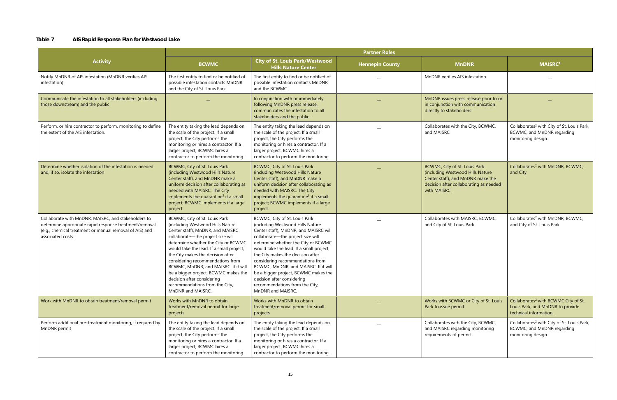#### **Table 7 AIS Rapid Response Plan for Westwood Lake**

|                                                                                                                                                                                              | <b>Partner Roles</b>                                                                                                                                                                                                                                                                                                                                                                                                                                                        |                                                                                                                                                                                                                                                                                                                                                                                                                                                                                  |                        |                                                                                                                                                                  |                                                                                                                |
|----------------------------------------------------------------------------------------------------------------------------------------------------------------------------------------------|-----------------------------------------------------------------------------------------------------------------------------------------------------------------------------------------------------------------------------------------------------------------------------------------------------------------------------------------------------------------------------------------------------------------------------------------------------------------------------|----------------------------------------------------------------------------------------------------------------------------------------------------------------------------------------------------------------------------------------------------------------------------------------------------------------------------------------------------------------------------------------------------------------------------------------------------------------------------------|------------------------|------------------------------------------------------------------------------------------------------------------------------------------------------------------|----------------------------------------------------------------------------------------------------------------|
| <b>Activity</b>                                                                                                                                                                              | <b>BCWMC</b>                                                                                                                                                                                                                                                                                                                                                                                                                                                                | <b>City of St. Louis Park/Westwood</b><br><b>Hills Nature Center</b>                                                                                                                                                                                                                                                                                                                                                                                                             | <b>Hennepin County</b> | <b>MnDNR</b>                                                                                                                                                     | <b>MAISRC1</b>                                                                                                 |
| Notify MnDNR of AIS infestation (MnDNR verifies AIS<br>infestation)                                                                                                                          | The first entity to find or be notified of<br>possible infestation contacts MnDNR<br>and the City of St. Louis Park                                                                                                                                                                                                                                                                                                                                                         | The first entity to find or be notified of<br>possible infestation contacts MnDNR<br>and the BCWMC                                                                                                                                                                                                                                                                                                                                                                               |                        | MnDNR verifies AIS infestation                                                                                                                                   |                                                                                                                |
| Communicate the infestation to all stakeholders (including<br>those downstream) and the public                                                                                               |                                                                                                                                                                                                                                                                                                                                                                                                                                                                             | In conjunction with or immediately<br>following MnDNR press release,<br>communicates the infestation to all<br>stakeholders and the public.                                                                                                                                                                                                                                                                                                                                      |                        | MnDNR issues press release prior to or<br>in conjunction with communication<br>directly to stakeholders                                                          |                                                                                                                |
| Perform, or hire contractor to perform, monitoring to define<br>the extent of the AIS infestation.                                                                                           | The entity taking the lead depends on<br>the scale of the project. If a small<br>project, the City performs the<br>monitoring or hires a contractor. If a<br>larger project, BCWMC hires a<br>contractor to perform the monitoring.                                                                                                                                                                                                                                         | The entity taking the lead depends on<br>the scale of the project. If a small<br>project, the City performs the<br>monitoring or hires a contractor. If a<br>larger project, BCWMC hires a<br>contractor to perform the monitoring                                                                                                                                                                                                                                               |                        | Collaborates with the City, BCWMC,<br>and MAISRC                                                                                                                 | Collaborates <sup>2</sup> with City of St. Louis Park,<br>BCWMC, and MnDNR regarding<br>monitoring design.     |
| Determine whether isolation of the infestation is needed<br>and, if so, isolate the infestation                                                                                              | BCWMC, City of St. Louis Park<br>(including Westwood Hills Nature<br>Center staff), and MnDNR make a<br>uniform decision after collaborating as<br>needed with MAISRC. The City<br>implements the quarantine <sup>3</sup> if a small<br>project; BCWMC implements if a large<br>project.                                                                                                                                                                                    | BCWMC, City of St. Louis Park<br>(including Westwood Hills Nature<br>Center staff), and MnDNR make a<br>uniform decision after collaborating as<br>needed with MAISRC. The City<br>implements the quarantine <sup>3</sup> if a small<br>project; BCWMC implements if a large<br>project.                                                                                                                                                                                         |                        | BCWMC, City of St. Louis Park<br>(including Westwood Hills Nature<br>Center staff), and MnDNR make the<br>decision after collaborating as needed<br>with MAISRC. | Collaborates <sup>2</sup> with MnDNR, BCWMC,<br>and City                                                       |
| Collaborate with MnDNR, MAISRC, and stakeholders to<br>determine appropriate rapid response treatment/removal<br>(e.g., chemical treatment or manual removal of AIS) and<br>associated costs | BCWMC, City of St. Louis Park<br>(including Westwood Hills Nature<br>Center staff), MnDNR, and MAISRC<br>collaborate-the project size will<br>determine whether the City or BCWMC<br>would take the lead. If a small project,<br>the City makes the decision after<br>considering recommendations from<br>BCWMC, MnDNR, and MAISRC. If it will<br>be a bigger project, BCWMC makes the<br>decision after considering<br>recommendations from the City,<br>MnDNR and MAISRC. | BCWMC, City of St. Louis Park<br>(including Westwood Hills Nature<br>Center staff), MnDNR, and MAISRC will<br>collaborate-the project size will<br>determine whether the City or BCWMC<br>would take the lead. If a small project,<br>the City makes the decision after<br>considering recommendations from<br>BCWMC, MnDNR, and MAISRC. If it will<br>be a bigger project, BCWMC makes the<br>decision after considering<br>recommendations from the City,<br>MnDNR and MAISRC. |                        | Collaborates with MAISRC, BCWMC,<br>and City of St. Louis Park                                                                                                   | Collaborates <sup>2</sup> with MnDNR, BCWMC,<br>and City of St. Louis Park                                     |
| Work with MnDNR to obtain treatment/removal permit                                                                                                                                           | Works with MnDNR to obtain<br>treatment/removal permit for large<br>projects                                                                                                                                                                                                                                                                                                                                                                                                | Works with MnDNR to obtain<br>treatment/removal permit for small<br>projects                                                                                                                                                                                                                                                                                                                                                                                                     |                        | Works with BCWMC or City of St. Louis<br>Park to issue permit                                                                                                    | Collaborates <sup>2</sup> with BCWMC City of St.<br>Louis Park, and MnDNR to provide<br>technical information. |
| Perform additional pre-treatment monitoring, if required by<br>MnDNR permit                                                                                                                  | The entity taking the lead depends on<br>the scale of the project. If a small<br>project, the City performs the<br>monitoring or hires a contractor. If a<br>larger project, BCWMC hires a<br>contractor to perform the monitoring.                                                                                                                                                                                                                                         | The entity taking the lead depends on<br>the scale of the project. If a small<br>project, the City performs the<br>monitoring or hires a contractor. If a<br>larger project, BCWMC hires a<br>contractor to perform the monitoring.                                                                                                                                                                                                                                              |                        | Collaborates with the City, BCWMC,<br>and MAISRC regarding monitoring<br>requirements of permit.                                                                 | Collaborates <sup>2</sup> with City of St. Louis Park,<br>BCWMC, and MnDNR regarding<br>monitoring design.     |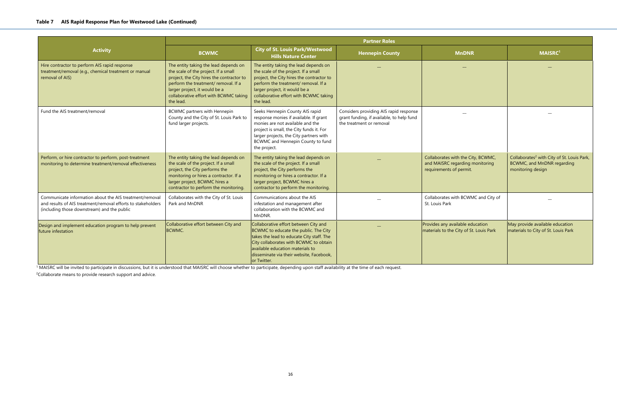|                                                                                                                                                                        | <b>Partner Roles</b>                                                                                                                                                                                                                                       |                                                                                                                                                                                                                                                                      |                                                                                                                 |                                                                                                  |                                                                                                           |
|------------------------------------------------------------------------------------------------------------------------------------------------------------------------|------------------------------------------------------------------------------------------------------------------------------------------------------------------------------------------------------------------------------------------------------------|----------------------------------------------------------------------------------------------------------------------------------------------------------------------------------------------------------------------------------------------------------------------|-----------------------------------------------------------------------------------------------------------------|--------------------------------------------------------------------------------------------------|-----------------------------------------------------------------------------------------------------------|
| <b>Activity</b>                                                                                                                                                        | <b>BCWMC</b>                                                                                                                                                                                                                                               | <b>City of St. Louis Park/Westwood</b><br><b>Hills Nature Center</b>                                                                                                                                                                                                 | <b>Hennepin County</b>                                                                                          | <b>MnDNR</b>                                                                                     | <b>MAISRC1</b>                                                                                            |
| Hire contractor to perform AIS rapid response<br>treatment/removal (e.g., chemical treatment or manual<br>removal of AIS)                                              | The entity taking the lead depends on<br>the scale of the project. If a small<br>project, the City hires the contractor to<br>perform the treatment/ removal. If a<br>larger project, it would be a<br>collaborative effort with BCWMC taking<br>the lead. | The entity taking the lead depends on<br>the scale of the project. If a small<br>project, the City hires the contractor to<br>perform the treatment/ removal. If a<br>larger project, it would be a<br>collaborative effort with BCWMC taking<br>the lead.           |                                                                                                                 |                                                                                                  |                                                                                                           |
| Fund the AIS treatment/removal                                                                                                                                         | <b>BCWMC</b> partners with Hennepin<br>County and the City of St. Louis Park to<br>fund larger projects.                                                                                                                                                   | Seeks Hennepin County AIS rapid<br>response monies if available. If grant<br>monies are not available and the<br>project is small, the City funds it. For<br>larger projects, the City partners with<br>BCWMC and Hennepin County to fund<br>the project.            | Considers providing AIS rapid response<br>grant funding, if available, to help fund<br>the treatment or removal |                                                                                                  |                                                                                                           |
| Perform, or hire contractor to perform, post-treatment<br>monitoring to determine treatment/removal effectiveness                                                      | The entity taking the lead depends on<br>the scale of the project. If a small<br>project, the City performs the<br>monitoring or hires a contractor. If a<br>larger project, BCWMC hires a<br>contractor to perform the monitoring.                        | The entity taking the lead depends on<br>the scale of the project. If a small<br>project, the City performs the<br>monitoring or hires a contractor. If a<br>larger project, BCWMC hires a<br>contractor to perform the monitoring.                                  |                                                                                                                 | Collaborates with the City, BCWMC,<br>and MAISRC regarding monitoring<br>requirements of permit. | Collaborates <sup>2</sup> with City of St. Louis Park,<br>BCWMC, and MnDNR regarding<br>monitoring design |
| Communicate information about the AIS treatment/removal<br>and results of AIS treatment/removal efforts to stakeholders<br>(including those downstream) and the public | Collaborates with the City of St. Louis<br>Park and MnDNR                                                                                                                                                                                                  | Communications about the AIS<br>infestation and management after<br>collaboration with the BCWMC and<br>MnDNR.                                                                                                                                                       |                                                                                                                 | Collaborates with BCWMC and City of<br>St. Louis Park                                            |                                                                                                           |
| Design and implement education program to help prevent<br>future infestation                                                                                           | Collaborative effort between City and<br><b>BCWMC.</b>                                                                                                                                                                                                     | Collaborative effort between City and<br>BCWMC to educate the public. The City<br>takes the lead to educate City staff. The<br>City collaborates with BCWMC to obtain<br>available education materials to<br>disseminate via their website, Facebook,<br>or Twitter. |                                                                                                                 | Provides any available education<br>materials to the City of St. Louis Park                      | May provide available education<br>materials to City of St. Louis Park                                    |

<sup>1</sup> MAISRC will be invited to participate in discussions, but it is understood that MAISRC will choose whether to participate, depending upon staff availability at the time of each request.

<sup>2</sup>Collaborate means to provide research support and advice.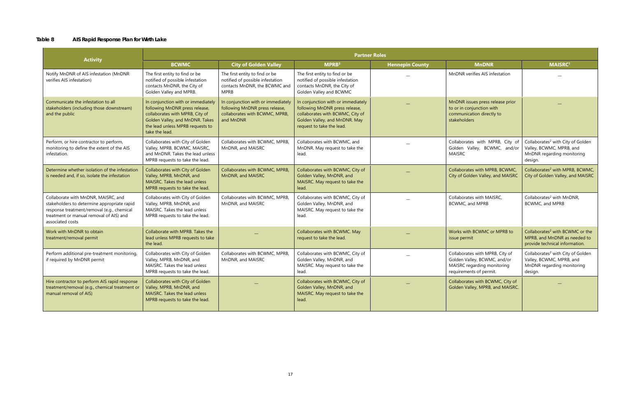#### **Table 8 AIS Rapid Response Plan for Wirth Lake**

| <b>Activity</b>                                                                                                                                                                                 | <b>Partner Roles</b>                                                                                                                                                                             |                                                                                                                     |                                                                                                                                                                        |                        |                                                                                                                           |                                                                                                                    |
|-------------------------------------------------------------------------------------------------------------------------------------------------------------------------------------------------|--------------------------------------------------------------------------------------------------------------------------------------------------------------------------------------------------|---------------------------------------------------------------------------------------------------------------------|------------------------------------------------------------------------------------------------------------------------------------------------------------------------|------------------------|---------------------------------------------------------------------------------------------------------------------------|--------------------------------------------------------------------------------------------------------------------|
|                                                                                                                                                                                                 | <b>BCWMC</b>                                                                                                                                                                                     | <b>City of Golden Valley</b>                                                                                        | MPRB <sup>3</sup>                                                                                                                                                      | <b>Hennepin County</b> | <b>MnDNR</b>                                                                                                              | <b>MAISRC1</b>                                                                                                     |
| Notify MnDNR of AIS infestation (MnDNR<br>verifies AIS infestation)                                                                                                                             | The first entity to find or be<br>notified of possible infestation<br>contacts MnDNR, the City of<br>Golden Valley and MPRB.                                                                     | The first entity to find or be<br>notified of possible infestation<br>contacts MnDNR, the BCWMC and<br><b>MPRB</b>  | The first entity to find or be<br>notified of possible infestation<br>contacts MnDNR, the City of<br>Golden Valley and BCWMC                                           |                        | MnDNR verifies AIS infestation                                                                                            |                                                                                                                    |
| Communicate the infestation to all<br>stakeholders (including those downstream)<br>and the public                                                                                               | In conjunction with or immediately<br>following MnDNR press release,<br>collaborates with MPRB, City of<br>Golden Valley, and MnDNR. Takes<br>the lead unless MPRB requests to<br>take the lead. | In conjunction with or immediately<br>following MnDNR press release,<br>collaborates with BCWMC, MPRB,<br>and MnDNR | In conjunction with or immediately<br>following MnDNR press release,<br>collaborates with BCWMC, City of<br>Golden Valley, and MnDNR. May<br>request to take the lead. |                        | MnDNR issues press release prior<br>to or in conjunction with<br>communication directly to<br><b>stakeholders</b>         |                                                                                                                    |
| Perform, or hire contractor to perform,<br>monitoring to define the extent of the AIS<br>infestation.                                                                                           | Collaborates with City of Golden<br>Valley, MPRB, BCWMC, MAISRC,<br>and MnDNR. Takes the lead unless<br>MPRB requests to take the lead.                                                          | Collaborates with BCWMC, MPRB,<br>MnDNR, and MAISRC                                                                 | Collaborates with BCWMC, and<br>MnDNR. May request to take the<br>lead.                                                                                                |                        | Collaborates with MPRB, City of<br>Golden Valley, BCWMC, and/or<br>MAISRC                                                 | Collaborates <sup>2</sup> with City of Golden<br>Valley, BCWMC, MPRB, and<br>MnDNR regarding monitoring<br>design. |
| Determine whether isolation of the infestation<br>is needed and, if so, isolate the infestation                                                                                                 | Collaborates with City of Golden<br>Valley, MPRB, MnDNR, and<br>MAISRC. Takes the lead unless<br>MPRB requests to take the lead.                                                                 | Collaborates with BCWMC, MPRB,<br>MnDNR, and MAISRC                                                                 | Collaborates with BCWMC, City of<br>Golden Valley, MnDNR, and<br>MAISRC. May request to take the<br>lead.                                                              |                        | Collaborates with MPRB, BCWMC,<br>City of Golden Valley, and MAISRC                                                       | Collaborates <sup>2</sup> with MPRB, BCWMC,<br>City of Golden Valley, and MAISRC                                   |
| Collaborate with MnDNR, MAISRC, and<br>stakeholders to determine appropriate rapid<br>response treatment/removal (e.g., chemical<br>treatment or manual removal of AIS) and<br>associated costs | Collaborates with City of Golden<br>Valley, MPRB, MnDNR, and<br>MAISRC. Takes the lead unless<br>MPRB requests to take the lead.                                                                 | Collaborates with BCWMC, MPRB,<br>MnDNR, and MAISRC                                                                 | Collaborates with BCWMC, City of<br>Golden Valley, MnDNR, and<br>MAISRC. May request to take the<br>lead.                                                              |                        | Collaborates with MAISRC,<br>BCWMC, and MPRB                                                                              | Collaborates <sup>2</sup> with MnDNR,<br>BCWMC, and MPRB                                                           |
| Work with MnDNR to obtain<br>treatment/removal permit                                                                                                                                           | Collaborate with MPRB. Takes the<br>lead unless MPRB requests to take<br>the lead.                                                                                                               |                                                                                                                     | Collaborates with BCWMC. May<br>request to take the lead.                                                                                                              |                        | Works with BCWMC or MPRB to<br>issue permit                                                                               | Collaborates <sup>2</sup> with BCWMC or the<br>MPRB, and MnDNR as needed to<br>provide technical information.      |
| Perform additional pre-treatment monitoring,<br>if required by MnDNR permit                                                                                                                     | Collaborates with City of Golden<br>Valley, MPRB, MnDNR, and<br>MAISRC. Takes the lead unless<br>MPRB requests to take the lead.                                                                 | Collaborates with BCWMC, MPRB,<br>MnDNR, and MAISRC                                                                 | Collaborates with BCWMC, City of<br>Golden Valley, MnDNR, and<br>MAISRC. May request to take the<br>lead.                                                              |                        | Collaborates with MPRB, City of<br>Golden Valley, BCWMC, and/or<br>MAISRC regarding monitoring<br>requirements of permit. | Collaborates <sup>2</sup> with City of Golden<br>Valley, BCWMC, MPRB, and<br>MnDNR regarding monitoring<br>design. |
| Hire contractor to perform AIS rapid response<br>treatment/removal (e.g., chemical treatment or<br>manual removal of AIS)                                                                       | Collaborates with City of Golden<br>Valley, MPRB, MnDNR, and<br>MAISRC. Takes the lead unless<br>MPRB requests to take the lead.                                                                 |                                                                                                                     | Collaborates with BCWMC, City of<br>Golden Valley, MnDNR, and<br>MAISRC. May request to take the<br>lead.                                                              |                        | Collaborates with BCWMC, City of<br>Golden Valley, MPRB, and MAISRC.                                                      |                                                                                                                    |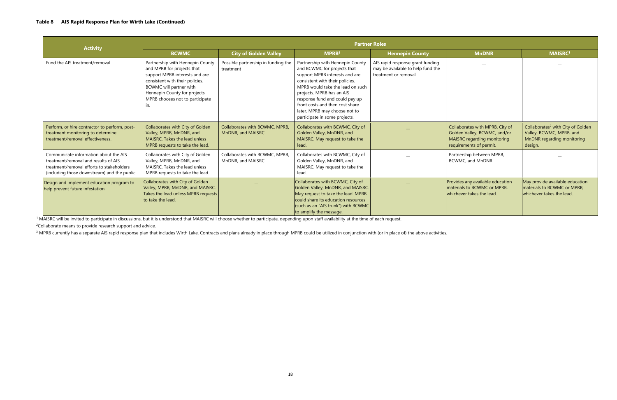|                                                                                                                                                                           | <b>Partner Roles</b>                                                                                                                                                                                                                     |                                                     |                                                                                                                                                                                                                                                                                                                                              |                                                                                               |                                                                                                                           |                                                                                             |  |  |
|---------------------------------------------------------------------------------------------------------------------------------------------------------------------------|------------------------------------------------------------------------------------------------------------------------------------------------------------------------------------------------------------------------------------------|-----------------------------------------------------|----------------------------------------------------------------------------------------------------------------------------------------------------------------------------------------------------------------------------------------------------------------------------------------------------------------------------------------------|-----------------------------------------------------------------------------------------------|---------------------------------------------------------------------------------------------------------------------------|---------------------------------------------------------------------------------------------|--|--|
| <b>Activity</b>                                                                                                                                                           | <b>BCWMC</b>                                                                                                                                                                                                                             | <b>City of Golden Valley</b>                        | MPRB <sup>3</sup>                                                                                                                                                                                                                                                                                                                            | <b>Hennepin County</b>                                                                        | <b>MnDNR</b>                                                                                                              | <b>MAISRC</b>                                                                               |  |  |
| Fund the AIS treatment/removal                                                                                                                                            | Partnership with Hennepin County<br>and MPRB for projects that<br>support MPRB interests and are<br>consistent with their policies.<br>BCWMC will partner with<br>Hennepin County for projects<br>MPRB chooses not to participate<br>In. | Possible partnership in funding the<br>treatment    | Partnership with Hennepin County<br>and BCWMC for projects that<br>support MPRB interests and are<br>consistent with their policies.<br>MPRB would take the lead on such<br>projects. MPRB has an AIS<br>response fund and could pay up<br>front costs and then cost share<br>later. MPRB may choose not to<br>participate in some projects. | AIS rapid response grant funding<br>may be available to help fund the<br>treatment or removal |                                                                                                                           |                                                                                             |  |  |
| Perform, or hire contractor to perform, post-<br>treatment monitoring to determine<br>treatment/removal effectiveness.                                                    | Collaborates with City of Golden<br>Valley, MPRB, MnDNR, and<br>MAISRC. Takes the lead unless<br>MPRB requests to take the lead.                                                                                                         | Collaborates with BCWMC, MPRB,<br>MnDNR, and MAISRC | Collaborates with BCWMC, City of<br>Golden Valley, MnDNR, and<br>MAISRC. May request to take the<br>lead.                                                                                                                                                                                                                                    |                                                                                               | Collaborates with MPRB, City of<br>Golden Valley, BCWMC, and/or<br>MAISRC regarding monitoring<br>requirements of permit. | Collaborates <sup>2</sup> with City<br>Valley, BCWMC, MPRB<br>MnDNR regarding mo<br>design. |  |  |
| Communicate information about the AIS<br>treatment/removal and results of AIS<br>treatment/removal efforts to stakeholders<br>(including those downstream) and the public | Collaborates with City of Golden<br>Valley, MPRB, MnDNR, and<br>MAISRC. Takes the lead unless<br>MPRB requests to take the lead.                                                                                                         | Collaborates with BCWMC, MPRB,<br>MnDNR, and MAISRC | Collaborates with BCWMC, City of<br>Golden Valley, MnDNR, and<br>MAISRC. May request to take the<br>lead.                                                                                                                                                                                                                                    |                                                                                               | Partnership between MPRB,<br><b>BCWMC, and MnDNR</b>                                                                      |                                                                                             |  |  |
| Design and implement education program to<br>help prevent future infestation                                                                                              | Collaborates with City of Golden<br>Valley, MPRB, MnDNR, and MAISRC.<br>Takes the lead unless MPRB requests<br>to take the lead.                                                                                                         |                                                     | Collaborates with BCWMC, City of<br>Golden Valley, MnDNR, and MAISRC.<br>May request to take the lead. MPRB<br>could share its education resources<br>(such as an "AIS trunk") with BCWMC<br>to amplify the message.                                                                                                                         |                                                                                               | Provides any available education<br>materials to BCWMC or MPRB,<br>whichever takes the lead.                              | May provide available e<br>materials to BCWMC or<br>whichever takes the lea                 |  |  |

<sup>1</sup> MAISRC will be invited to participate in discussions, but it is understood that MAISRC will choose whether to participate, depending upon staff availability at the time of each request.

<sup>2</sup>Collaborate means to provide research support and advice.

<sup>3</sup> MPRB currently has a separate AIS rapid response plan that includes Wirth Lake. Contracts and plans already in place through MPRB could be utilized in conjunction with (or in place of) the above activities.

| in County                                     | <b>MnDNR</b>                                                                                                              | <b>MAISRC1</b>                                                                                                     |
|-----------------------------------------------|---------------------------------------------------------------------------------------------------------------------------|--------------------------------------------------------------------------------------------------------------------|
| se grant funding<br>to help fund the<br>าoval |                                                                                                                           |                                                                                                                    |
|                                               | Collaborates with MPRB, City of<br>Golden Valley, BCWMC, and/or<br>MAISRC regarding monitoring<br>requirements of permit. | Collaborates <sup>2</sup> with City of Golden<br>Valley, BCWMC, MPRB, and<br>MnDNR regarding monitoring<br>design. |
|                                               | Partnership between MPRB,<br>BCWMC, and MnDNR                                                                             |                                                                                                                    |
|                                               | Provides any available education<br>materials to BCWMC or MPRB,<br>whichever takes the lead.                              | May provide available education<br>materials to BCWMC or MPRB,<br>whichever takes the lead.                        |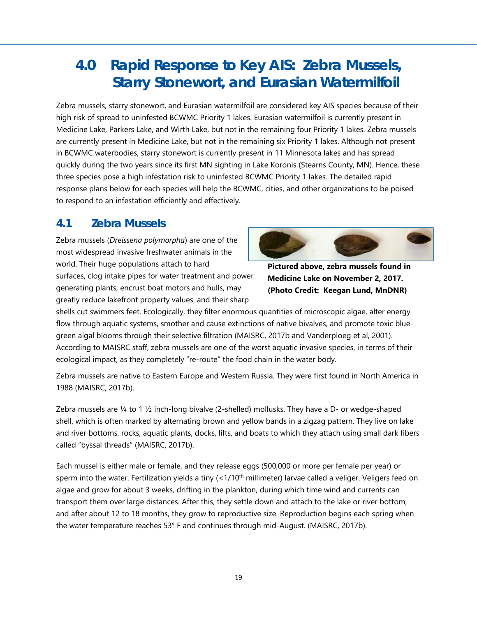# **4.0 Rapid Response to Key AIS: Zebra Mussels, Starry Stonewort, and Eurasian Watermilfoil**

Zebra mussels, starry stonewort, and Eurasian watermilfoil are considered key AIS species because of their high risk of spread to uninfested BCWMC Priority 1 lakes. Eurasian watermilfoil is currently present in Medicine Lake, Parkers Lake, and Wirth Lake, but not in the remaining four Priority 1 lakes. Zebra mussels are currently present in Medicine Lake, but not in the remaining six Priority 1 lakes. Although not present in BCWMC waterbodies, starry stonewort is currently present in 11 Minnesota lakes and has spread quickly during the two years since its first MN sighting in Lake Koronis (Stearns County, MN). Hence, these three species pose a high infestation risk to uninfested BCWMC Priority 1 lakes. The detailed rapid response plans below for each species will help the BCWMC, cities, and other organizations to be poised to respond to an infestation efficiently and effectively.

### **4.1 Zebra Mussels**

Zebra mussels (*Dreissena polymorpha*) are one of the most widespread invasive freshwater animals in the world. Their huge populations attach to hard surfaces, clog intake pipes for water treatment and power generating plants, encrust boat motors and hulls, may greatly reduce lakefront property values, and their sharp



**Pictured above, zebra mussels found in Medicine Lake on November 2, 2017. (Photo Credit: Keegan Lund, MnDNR)** 

shells cut swimmers feet. Ecologically, they filter enormous quantities of microscopic algae, alter energy flow through aquatic systems, smother and cause extinctions of native bivalves, and promote toxic bluegreen algal blooms through their selective filtration (MAISRC, 2017b and Vanderploeg et al, 2001). According to MAISRC staff, zebra mussels are one of the worst aquatic invasive species, in terms of their ecological impact, as they completely "re-route" the food chain in the water body.

Zebra mussels are native to Eastern Europe and Western Russia. They were first found in North America in 1988 (MAISRC, 2017b).

Zebra mussels are ¼ to 1 ½ inch-long bivalve (2-shelled) mollusks. They have a D- or wedge-shaped shell, which is often marked by alternating brown and yellow bands in a zigzag pattern. They live on lake and river bottoms, rocks, aquatic plants, docks, lifts, and boats to which they attach using small dark fibers called "byssal threads" (MAISRC, 2017b).

Each mussel is either male or female, and they release eggs (500,000 or more per female per year) or sperm into the water. Fertilization yields a tiny  $(<1/10<sup>th</sup>$  millimeter) larvae called a veliger. Veligers feed on algae and grow for about 3 weeks, drifting in the plankton, during which time wind and currents can transport them over large distances. After this, they settle down and attach to the lake or river bottom, and after about 12 to 18 months, they grow to reproductive size. Reproduction begins each spring when the water temperature reaches 53° F and continues through mid-August. (MAISRC, 2017b).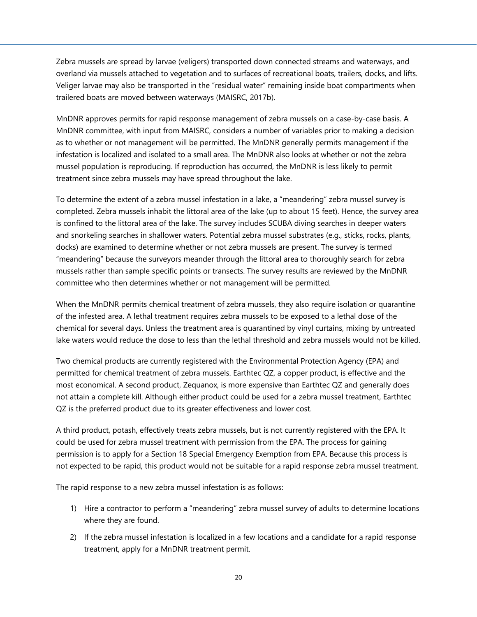Zebra mussels are spread by larvae (veligers) transported down connected streams and waterways, and overland via mussels attached to vegetation and to surfaces of recreational boats, trailers, docks, and lifts. Veliger larvae may also be transported in the "residual water" remaining inside boat compartments when trailered boats are moved between waterways (MAISRC, 2017b).

MnDNR approves permits for rapid response management of zebra mussels on a case-by-case basis. A MnDNR committee, with input from MAISRC, considers a number of variables prior to making a decision as to whether or not management will be permitted. The MnDNR generally permits management if the infestation is localized and isolated to a small area. The MnDNR also looks at whether or not the zebra mussel population is reproducing. If reproduction has occurred, the MnDNR is less likely to permit treatment since zebra mussels may have spread throughout the lake.

To determine the extent of a zebra mussel infestation in a lake, a "meandering" zebra mussel survey is completed. Zebra mussels inhabit the littoral area of the lake (up to about 15 feet). Hence, the survey area is confined to the littoral area of the lake. The survey includes SCUBA diving searches in deeper waters and snorkeling searches in shallower waters. Potential zebra mussel substrates (e.g., sticks, rocks, plants, docks) are examined to determine whether or not zebra mussels are present. The survey is termed "meandering" because the surveyors meander through the littoral area to thoroughly search for zebra mussels rather than sample specific points or transects. The survey results are reviewed by the MnDNR committee who then determines whether or not management will be permitted.

When the MnDNR permits chemical treatment of zebra mussels, they also require isolation or quarantine of the infested area. A lethal treatment requires zebra mussels to be exposed to a lethal dose of the chemical for several days. Unless the treatment area is quarantined by vinyl curtains, mixing by untreated lake waters would reduce the dose to less than the lethal threshold and zebra mussels would not be killed.

Two chemical products are currently registered with the Environmental Protection Agency (EPA) and permitted for chemical treatment of zebra mussels. Earthtec QZ, a copper product, is effective and the most economical. A second product, Zequanox, is more expensive than Earthtec QZ and generally does not attain a complete kill. Although either product could be used for a zebra mussel treatment, Earthtec QZ is the preferred product due to its greater effectiveness and lower cost.

A third product, potash, effectively treats zebra mussels, but is not currently registered with the EPA. It could be used for zebra mussel treatment with permission from the EPA. The process for gaining permission is to apply for a Section 18 Special Emergency Exemption from EPA. Because this process is not expected to be rapid, this product would not be suitable for a rapid response zebra mussel treatment.

The rapid response to a new zebra mussel infestation is as follows:

- 1) Hire a contractor to perform a "meandering" zebra mussel survey of adults to determine locations where they are found.
- 2) If the zebra mussel infestation is localized in a few locations and a candidate for a rapid response treatment, apply for a MnDNR treatment permit.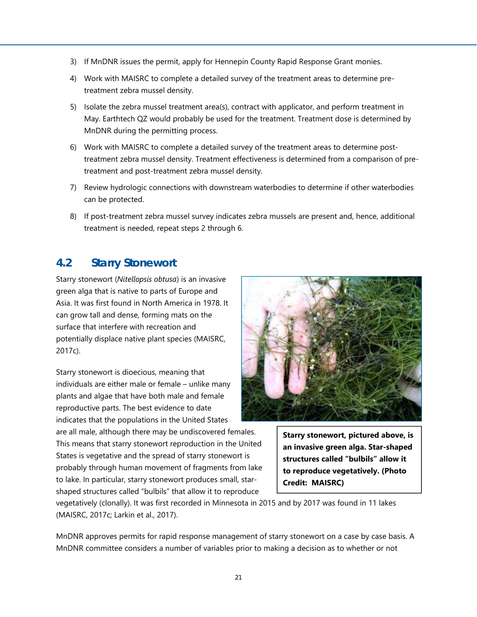- 3) If MnDNR issues the permit, apply for Hennepin County Rapid Response Grant monies.
- 4) Work with MAISRC to complete a detailed survey of the treatment areas to determine pretreatment zebra mussel density.
- 5) Isolate the zebra mussel treatment area(s), contract with applicator, and perform treatment in May. Earthtech QZ would probably be used for the treatment. Treatment dose is determined by MnDNR during the permitting process.
- 6) Work with MAISRC to complete a detailed survey of the treatment areas to determine posttreatment zebra mussel density. Treatment effectiveness is determined from a comparison of pretreatment and post-treatment zebra mussel density.
- 7) Review hydrologic connections with downstream waterbodies to determine if other waterbodies can be protected.
- 8) If post-treatment zebra mussel survey indicates zebra mussels are present and, hence, additional treatment is needed, repeat steps 2 through 6.

## **4.2 Starry Stonewort**

Starry stonewort (*Nitellopsis obtusa*) is an invasive green alga that is native to parts of Europe and Asia. It was first found in North America in 1978. It can grow tall and dense, forming mats on the surface that interfere with recreation and potentially displace native plant species (MAISRC, 2017c).

Starry stonewort is dioecious, meaning that individuals are either male or female – unlike many plants and algae that have both male and female reproductive parts. The best evidence to date indicates that the populations in the United States

are all male, although there may be undiscovered females. This means that starry stonewort reproduction in the United States is vegetative and the spread of starry stonewort is probably through human movement of fragments from lake to lake. In particular, starry stonewort produces small, starshaped structures called "bulbils" that allow it to reproduce



**Starry stonewort, pictured above, is an invasive green alga. Star-shaped structures called "bulbils" allow it to reproduce vegetatively. (Photo Credit: MAISRC)** 

vegetatively (clonally). It was first recorded in Minnesota in 2015 and by 2017 was found in 11 lakes (MAISRC, 2017c; Larkin et al., 2017).

MnDNR approves permits for rapid response management of starry stonewort on a case by case basis. A MnDNR committee considers a number of variables prior to making a decision as to whether or not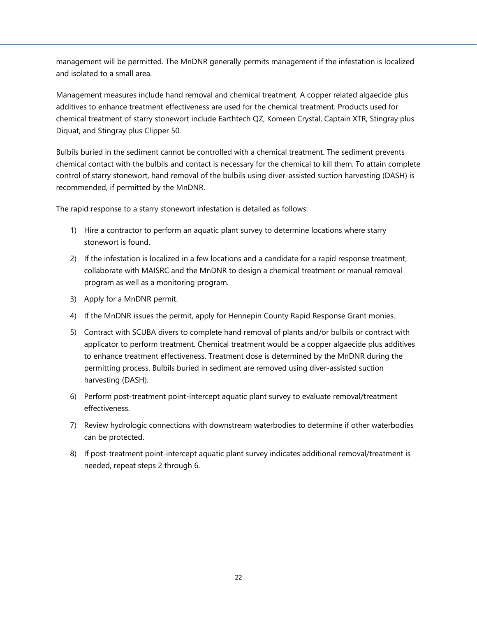management will be permitted. The MnDNR generally permits management if the infestation is localized and isolated to a small area.

Management measures include hand removal and chemical treatment. A copper related algaecide plus additives to enhance treatment effectiveness are used for the chemical treatment. Products used for chemical treatment of starry stonewort include Earthtech QZ, Komeen Crystal, Captain XTR, Stingray plus Diquat, and Stingray plus Clipper 50.

Bulbils buried in the sediment cannot be controlled with a chemical treatment. The sediment prevents chemical contact with the bulbils and contact is necessary for the chemical to kill them. To attain complete control of starry stonewort, hand removal of the bulbils using diver-assisted suction harvesting (DASH) is recommended, if permitted by the MnDNR.

The rapid response to a starry stonewort infestation is detailed as follows:

- 1) Hire a contractor to perform an aquatic plant survey to determine locations where starry stonewort is found.
- 2) If the infestation is localized in a few locations and a candidate for a rapid response treatment, collaborate with MAISRC and the MnDNR to design a chemical treatment or manual removal program as well as a monitoring program.
- 3) Apply for a MnDNR permit.
- 4) If the MnDNR issues the permit, apply for Hennepin County Rapid Response Grant monies.
- 5) Contract with SCUBA divers to complete hand removal of plants and/or bulbils or contract with applicator to perform treatment. Chemical treatment would be a copper algaecide plus additives to enhance treatment effectiveness. Treatment dose is determined by the MnDNR during the permitting process. Bulbils buried in sediment are removed using diver-assisted suction harvesting (DASH).
- 6) Perform post-treatment point-intercept aquatic plant survey to evaluate removal/treatment effectiveness.
- 7) Review hydrologic connections with downstream waterbodies to determine if other waterbodies can be protected.
- 8) If post-treatment point-intercept aquatic plant survey indicates additional removal/treatment is needed, repeat steps 2 through 6.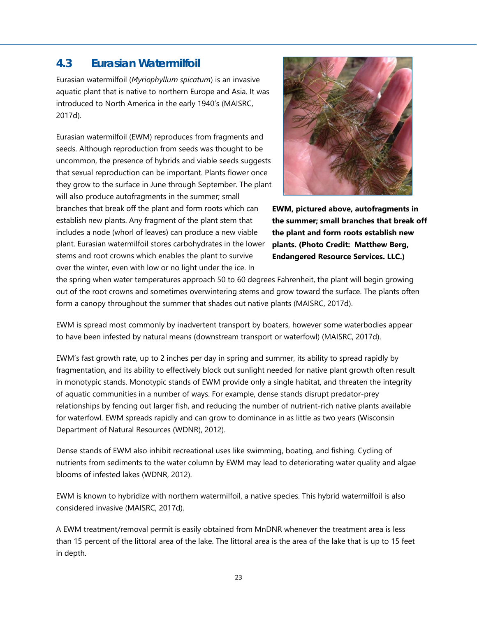## **4.3 Eurasian Watermilfoil**

Eurasian watermilfoil (*Myriophyllum spicatum*) is an invasive aquatic plant that is native to northern Europe and Asia. It was introduced to North America in the early 1940's (MAISRC, 2017d).

Eurasian watermilfoil (EWM) reproduces from fragments and seeds. Although reproduction from seeds was thought to be uncommon, the presence of hybrids and viable seeds suggests that sexual reproduction can be important. Plants flower once they grow to the surface in June through September. The plant will also produce autofragments in the summer; small branches that break off the plant and form roots which can establish new plants. Any fragment of the plant stem that includes a node (whorl of leaves) can produce a new viable plant. Eurasian watermilfoil stores carbohydrates in the lower stems and root crowns which enables the plant to survive over the winter, even with low or no light under the ice. In



**EWM, pictured above, autofragments in the summer; small branches that break off the plant and form roots establish new plants. (Photo Credit: Matthew Berg, Endangered Resource Services. LLC.)** 

the spring when water temperatures approach 50 to 60 degrees Fahrenheit, the plant will begin growing out of the root crowns and sometimes overwintering stems and grow toward the surface. The plants often form a canopy throughout the summer that shades out native plants (MAISRC, 2017d).

EWM is spread most commonly by inadvertent transport by boaters, however some waterbodies appear to have been infested by natural means (downstream transport or waterfowl) (MAISRC, 2017d).

EWM's fast growth rate, up to 2 inches per day in spring and summer, its ability to spread rapidly by fragmentation, and its ability to effectively block out sunlight needed for native plant growth often result in monotypic stands. Monotypic stands of EWM provide only a single habitat, and threaten the integrity of aquatic communities in a number of ways. For example, dense stands disrupt predator-prey relationships by fencing out larger fish, and reducing the number of nutrient-rich native plants available for waterfowl. EWM spreads rapidly and can grow to dominance in as little as two years (Wisconsin Department of Natural Resources (WDNR), 2012).

Dense stands of EWM also inhibit recreational uses like swimming, boating, and fishing. Cycling of nutrients from sediments to the water column by EWM may lead to deteriorating water quality and algae blooms of infested lakes (WDNR, 2012).

EWM is known to hybridize with northern watermilfoil, a native species. This hybrid watermilfoil is also considered invasive (MAISRC, 2017d).

A EWM treatment/removal permit is easily obtained from MnDNR whenever the treatment area is less than 15 percent of the littoral area of the lake. The littoral area is the area of the lake that is up to 15 feet in depth.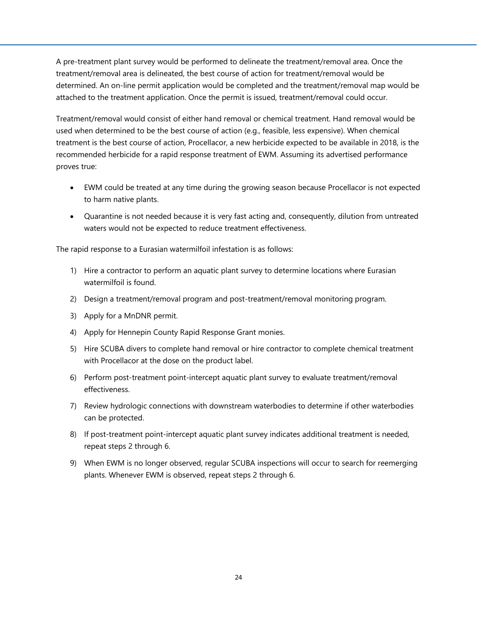A pre-treatment plant survey would be performed to delineate the treatment/removal area. Once the treatment/removal area is delineated, the best course of action for treatment/removal would be determined. An on-line permit application would be completed and the treatment/removal map would be attached to the treatment application. Once the permit is issued, treatment/removal could occur.

Treatment/removal would consist of either hand removal or chemical treatment. Hand removal would be used when determined to be the best course of action (e.g., feasible, less expensive). When chemical treatment is the best course of action, Procellacor, a new herbicide expected to be available in 2018, is the recommended herbicide for a rapid response treatment of EWM. Assuming its advertised performance proves true:

- EWM could be treated at any time during the growing season because Procellacor is not expected to harm native plants.
- Quarantine is not needed because it is very fast acting and, consequently, dilution from untreated waters would not be expected to reduce treatment effectiveness.

The rapid response to a Eurasian watermilfoil infestation is as follows:

- 1) Hire a contractor to perform an aquatic plant survey to determine locations where Eurasian watermilfoil is found.
- 2) Design a treatment/removal program and post-treatment/removal monitoring program.
- 3) Apply for a MnDNR permit.
- 4) Apply for Hennepin County Rapid Response Grant monies.
- 5) Hire SCUBA divers to complete hand removal or hire contractor to complete chemical treatment with Procellacor at the dose on the product label.
- 6) Perform post-treatment point-intercept aquatic plant survey to evaluate treatment/removal effectiveness.
- 7) Review hydrologic connections with downstream waterbodies to determine if other waterbodies can be protected.
- 8) If post-treatment point-intercept aquatic plant survey indicates additional treatment is needed, repeat steps 2 through 6.
- 9) When EWM is no longer observed, regular SCUBA inspections will occur to search for reemerging plants. Whenever EWM is observed, repeat steps 2 through 6.